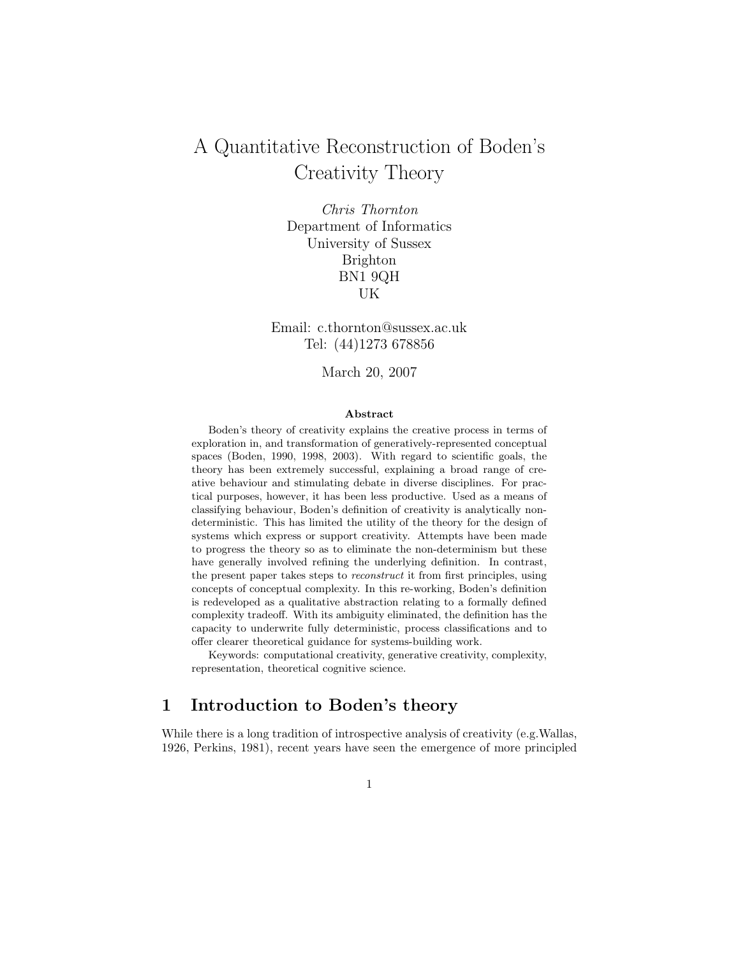# A Quantitative Reconstruction of Boden's Creativity Theory

Chris Thornton Department of Informatics University of Sussex Brighton BN1 9QH UK

Email: c.thornton@sussex.ac.uk Tel: (44)1273 678856

March 20, 2007

#### Abstract

Boden's theory of creativity explains the creative process in terms of exploration in, and transformation of generatively-represented conceptual spaces (Boden, 1990, 1998, 2003). With regard to scientific goals, the theory has been extremely successful, explaining a broad range of creative behaviour and stimulating debate in diverse disciplines. For practical purposes, however, it has been less productive. Used as a means of classifying behaviour, Boden's definition of creativity is analytically nondeterministic. This has limited the utility of the theory for the design of systems which express or support creativity. Attempts have been made to progress the theory so as to eliminate the non-determinism but these have generally involved refining the underlying definition. In contrast, the present paper takes steps to reconstruct it from first principles, using concepts of conceptual complexity. In this re-working, Boden's definition is redeveloped as a qualitative abstraction relating to a formally defined complexity tradeoff. With its ambiguity eliminated, the definition has the capacity to underwrite fully deterministic, process classifications and to offer clearer theoretical guidance for systems-building work.

Keywords: computational creativity, generative creativity, complexity, representation, theoretical cognitive science.

## 1 Introduction to Boden's theory

While there is a long tradition of introspective analysis of creativity (e.g.Wallas, 1926, Perkins, 1981), recent years have seen the emergence of more principled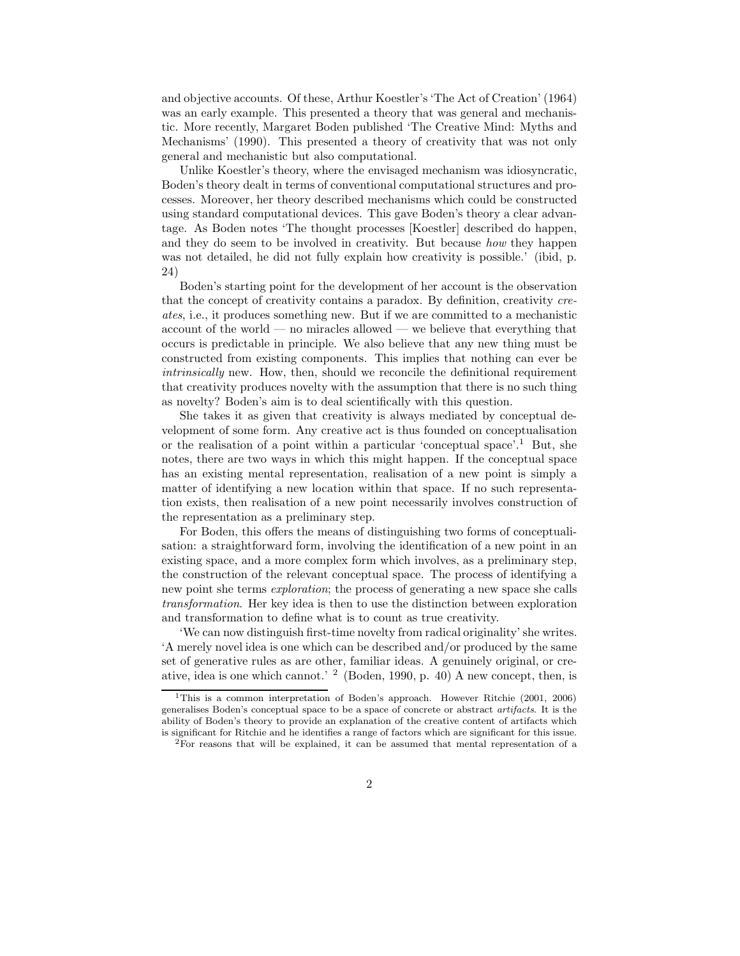and objective accounts. Of these, Arthur Koestler's 'The Act of Creation' (1964) was an early example. This presented a theory that was general and mechanistic. More recently, Margaret Boden published 'The Creative Mind: Myths and Mechanisms' (1990). This presented a theory of creativity that was not only general and mechanistic but also computational.

Unlike Koestler's theory, where the envisaged mechanism was idiosyncratic, Boden's theory dealt in terms of conventional computational structures and processes. Moreover, her theory described mechanisms which could be constructed using standard computational devices. This gave Boden's theory a clear advantage. As Boden notes 'The thought processes [Koestler] described do happen, and they do seem to be involved in creativity. But because how they happen was not detailed, he did not fully explain how creativity is possible.' (ibid, p. 24)

Boden's starting point for the development of her account is the observation that the concept of creativity contains a paradox. By definition, creativity creates, i.e., it produces something new. But if we are committed to a mechanistic account of the world — no miracles allowed — we believe that everything that occurs is predictable in principle. We also believe that any new thing must be constructed from existing components. This implies that nothing can ever be intrinsically new. How, then, should we reconcile the definitional requirement that creativity produces novelty with the assumption that there is no such thing as novelty? Boden's aim is to deal scientifically with this question.

She takes it as given that creativity is always mediated by conceptual development of some form. Any creative act is thus founded on conceptualisation or the realisation of a point within a particular 'conceptual space'.<sup>1</sup> But, she notes, there are two ways in which this might happen. If the conceptual space has an existing mental representation, realisation of a new point is simply a matter of identifying a new location within that space. If no such representation exists, then realisation of a new point necessarily involves construction of the representation as a preliminary step.

For Boden, this offers the means of distinguishing two forms of conceptualisation: a straightforward form, involving the identification of a new point in an existing space, and a more complex form which involves, as a preliminary step, the construction of the relevant conceptual space. The process of identifying a new point she terms exploration; the process of generating a new space she calls transformation. Her key idea is then to use the distinction between exploration and transformation to define what is to count as true creativity.

'We can now distinguish first-time novelty from radical originality' she writes. 'A merely novel idea is one which can be described and/or produced by the same set of generative rules as are other, familiar ideas. A genuinely original, or creative, idea is one which cannot.' <sup>2</sup> (Boden, 1990, p. 40) A new concept, then, is

<sup>&</sup>lt;sup>1</sup>This is a common interpretation of Boden's approach. However Ritchie (2001, 2006) generalises Boden's conceptual space to be a space of concrete or abstract artifacts. It is the ability of Boden's theory to provide an explanation of the creative content of artifacts which is significant for Ritchie and he identifies a range of factors which are significant for this issue.

<sup>&</sup>lt;sup>2</sup>For reasons that will be explained, it can be assumed that mental representation of a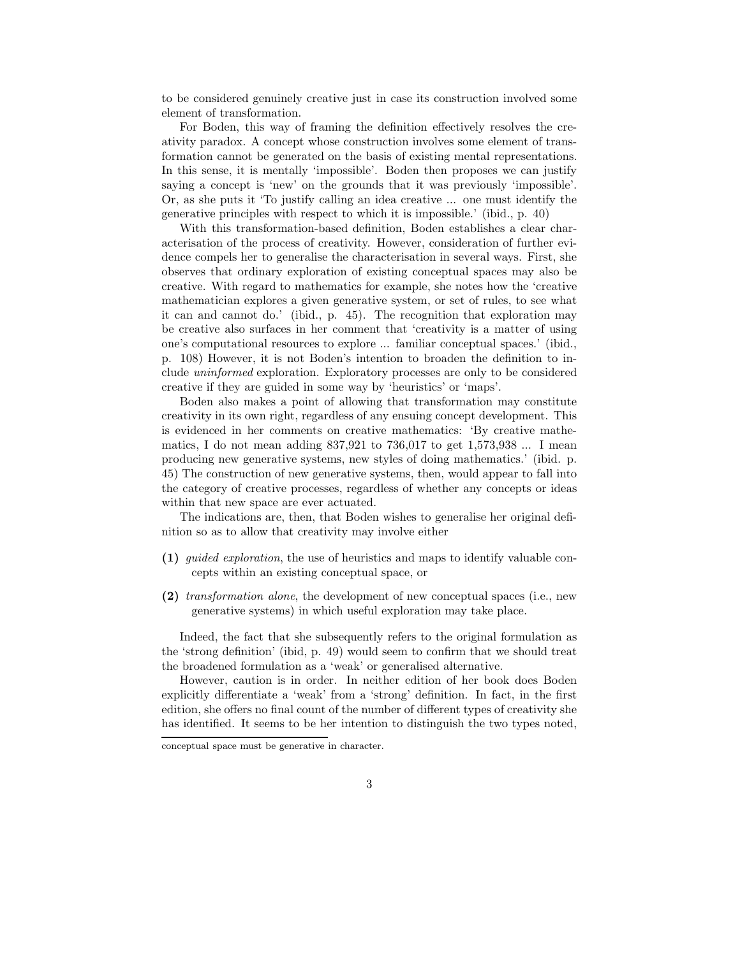to be considered genuinely creative just in case its construction involved some element of transformation.

For Boden, this way of framing the definition effectively resolves the creativity paradox. A concept whose construction involves some element of transformation cannot be generated on the basis of existing mental representations. In this sense, it is mentally 'impossible'. Boden then proposes we can justify saying a concept is 'new' on the grounds that it was previously 'impossible'. Or, as she puts it 'To justify calling an idea creative ... one must identify the generative principles with respect to which it is impossible.' (ibid., p. 40)

With this transformation-based definition, Boden establishes a clear characterisation of the process of creativity. However, consideration of further evidence compels her to generalise the characterisation in several ways. First, she observes that ordinary exploration of existing conceptual spaces may also be creative. With regard to mathematics for example, she notes how the 'creative mathematician explores a given generative system, or set of rules, to see what it can and cannot do.' (ibid., p. 45). The recognition that exploration may be creative also surfaces in her comment that 'creativity is a matter of using one's computational resources to explore ... familiar conceptual spaces.' (ibid., p. 108) However, it is not Boden's intention to broaden the definition to include uninformed exploration. Exploratory processes are only to be considered creative if they are guided in some way by 'heuristics' or 'maps'.

Boden also makes a point of allowing that transformation may constitute creativity in its own right, regardless of any ensuing concept development. This is evidenced in her comments on creative mathematics: 'By creative mathematics, I do not mean adding 837,921 to 736,017 to get 1,573,938 ... I mean producing new generative systems, new styles of doing mathematics.' (ibid. p. 45) The construction of new generative systems, then, would appear to fall into the category of creative processes, regardless of whether any concepts or ideas within that new space are ever actuated.

The indications are, then, that Boden wishes to generalise her original definition so as to allow that creativity may involve either

- (1) guided exploration, the use of heuristics and maps to identify valuable concepts within an existing conceptual space, or
- (2) transformation alone, the development of new conceptual spaces (i.e., new generative systems) in which useful exploration may take place.

Indeed, the fact that she subsequently refers to the original formulation as the 'strong definition' (ibid, p. 49) would seem to confirm that we should treat the broadened formulation as a 'weak' or generalised alternative.

However, caution is in order. In neither edition of her book does Boden explicitly differentiate a 'weak' from a 'strong' definition. In fact, in the first edition, she offers no final count of the number of different types of creativity she has identified. It seems to be her intention to distinguish the two types noted,

conceptual space must be generative in character.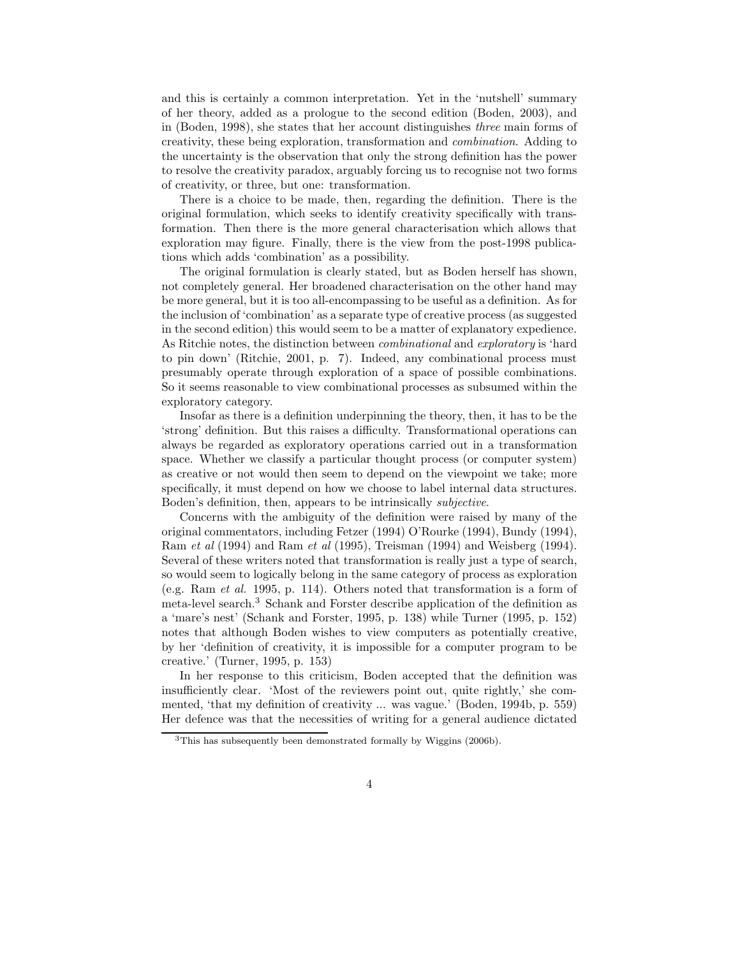and this is certainly a common interpretation. Yet in the 'nutshell' summary of her theory, added as a prologue to the second edition (Boden, 2003), and in (Boden, 1998), she states that her account distinguishes three main forms of creativity, these being exploration, transformation and combination. Adding to the uncertainty is the observation that only the strong definition has the power to resolve the creativity paradox, arguably forcing us to recognise not two forms of creativity, or three, but one: transformation.

There is a choice to be made, then, regarding the definition. There is the original formulation, which seeks to identify creativity specifically with transformation. Then there is the more general characterisation which allows that exploration may figure. Finally, there is the view from the post-1998 publications which adds 'combination' as a possibility.

The original formulation is clearly stated, but as Boden herself has shown, not completely general. Her broadened characterisation on the other hand may be more general, but it is too all-encompassing to be useful as a definition. As for the inclusion of 'combination' as a separate type of creative process (as suggested in the second edition) this would seem to be a matter of explanatory expedience. As Ritchie notes, the distinction between combinational and exploratory is 'hard to pin down' (Ritchie, 2001, p. 7). Indeed, any combinational process must presumably operate through exploration of a space of possible combinations. So it seems reasonable to view combinational processes as subsumed within the exploratory category.

Insofar as there is a definition underpinning the theory, then, it has to be the 'strong' definition. But this raises a difficulty. Transformational operations can always be regarded as exploratory operations carried out in a transformation space. Whether we classify a particular thought process (or computer system) as creative or not would then seem to depend on the viewpoint we take; more specifically, it must depend on how we choose to label internal data structures. Boden's definition, then, appears to be intrinsically subjective.

Concerns with the ambiguity of the definition were raised by many of the original commentators, including Fetzer (1994) O'Rourke (1994), Bundy (1994), Ram et al (1994) and Ram et al (1995), Treisman (1994) and Weisberg (1994). Several of these writers noted that transformation is really just a type of search, so would seem to logically belong in the same category of process as exploration (e.g. Ram et al. 1995, p. 114). Others noted that transformation is a form of meta-level search.<sup>3</sup> Schank and Forster describe application of the definition as a 'mare's nest' (Schank and Forster, 1995, p. 138) while Turner (1995, p. 152) notes that although Boden wishes to view computers as potentially creative, by her 'definition of creativity, it is impossible for a computer program to be creative.' (Turner, 1995, p. 153)

In her response to this criticism, Boden accepted that the definition was insufficiently clear. 'Most of the reviewers point out, quite rightly,' she commented, 'that my definition of creativity ... was vague.' (Boden, 1994b, p. 559) Her defence was that the necessities of writing for a general audience dictated

<sup>3</sup>This has subsequently been demonstrated formally by Wiggins (2006b).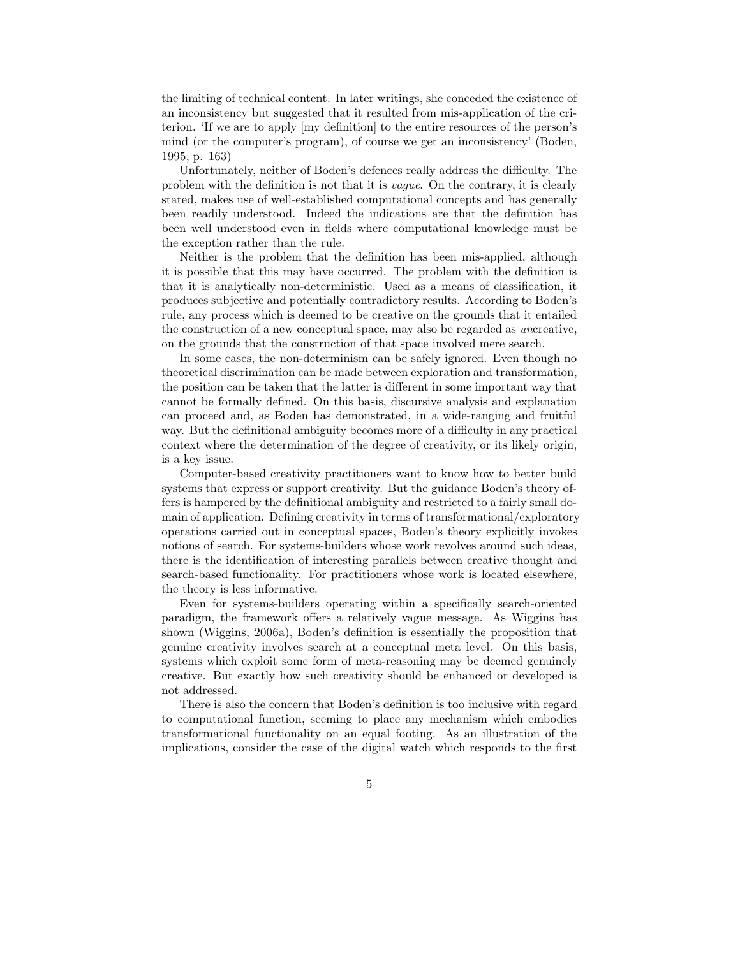the limiting of technical content. In later writings, she conceded the existence of an inconsistency but suggested that it resulted from mis-application of the criterion. 'If we are to apply [my definition] to the entire resources of the person's mind (or the computer's program), of course we get an inconsistency' (Boden, 1995, p. 163)

Unfortunately, neither of Boden's defences really address the difficulty. The problem with the definition is not that it is vague. On the contrary, it is clearly stated, makes use of well-established computational concepts and has generally been readily understood. Indeed the indications are that the definition has been well understood even in fields where computational knowledge must be the exception rather than the rule.

Neither is the problem that the definition has been mis-applied, although it is possible that this may have occurred. The problem with the definition is that it is analytically non-deterministic. Used as a means of classification, it produces subjective and potentially contradictory results. According to Boden's rule, any process which is deemed to be creative on the grounds that it entailed the construction of a new conceptual space, may also be regarded as uncreative, on the grounds that the construction of that space involved mere search.

In some cases, the non-determinism can be safely ignored. Even though no theoretical discrimination can be made between exploration and transformation, the position can be taken that the latter is different in some important way that cannot be formally defined. On this basis, discursive analysis and explanation can proceed and, as Boden has demonstrated, in a wide-ranging and fruitful way. But the definitional ambiguity becomes more of a difficulty in any practical context where the determination of the degree of creativity, or its likely origin, is a key issue.

Computer-based creativity practitioners want to know how to better build systems that express or support creativity. But the guidance Boden's theory offers is hampered by the definitional ambiguity and restricted to a fairly small domain of application. Defining creativity in terms of transformational/exploratory operations carried out in conceptual spaces, Boden's theory explicitly invokes notions of search. For systems-builders whose work revolves around such ideas, there is the identification of interesting parallels between creative thought and search-based functionality. For practitioners whose work is located elsewhere, the theory is less informative.

Even for systems-builders operating within a specifically search-oriented paradigm, the framework offers a relatively vague message. As Wiggins has shown (Wiggins, 2006a), Boden's definition is essentially the proposition that genuine creativity involves search at a conceptual meta level. On this basis, systems which exploit some form of meta-reasoning may be deemed genuinely creative. But exactly how such creativity should be enhanced or developed is not addressed.

There is also the concern that Boden's definition is too inclusive with regard to computational function, seeming to place any mechanism which embodies transformational functionality on an equal footing. As an illustration of the implications, consider the case of the digital watch which responds to the first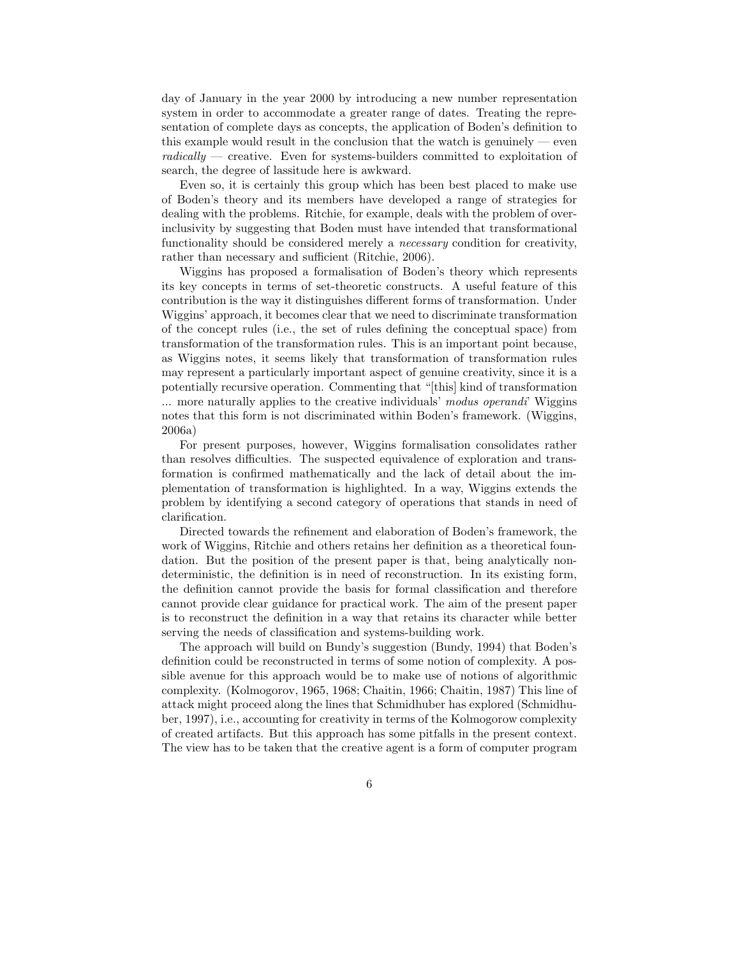day of January in the year 2000 by introducing a new number representation system in order to accommodate a greater range of dates. Treating the representation of complete days as concepts, the application of Boden's definition to this example would result in the conclusion that the watch is genuinely  $-$  even  $radically$  — creative. Even for systems-builders committed to exploitation of search, the degree of lassitude here is awkward.

Even so, it is certainly this group which has been best placed to make use of Boden's theory and its members have developed a range of strategies for dealing with the problems. Ritchie, for example, deals with the problem of overinclusivity by suggesting that Boden must have intended that transformational functionality should be considered merely a necessary condition for creativity, rather than necessary and sufficient (Ritchie, 2006).

Wiggins has proposed a formalisation of Boden's theory which represents its key concepts in terms of set-theoretic constructs. A useful feature of this contribution is the way it distinguishes different forms of transformation. Under Wiggins' approach, it becomes clear that we need to discriminate transformation of the concept rules (i.e., the set of rules defining the conceptual space) from transformation of the transformation rules. This is an important point because, as Wiggins notes, it seems likely that transformation of transformation rules may represent a particularly important aspect of genuine creativity, since it is a potentially recursive operation. Commenting that "[this] kind of transformation ... more naturally applies to the creative individuals' modus operandi' Wiggins notes that this form is not discriminated within Boden's framework. (Wiggins, 2006a)

For present purposes, however, Wiggins formalisation consolidates rather than resolves difficulties. The suspected equivalence of exploration and transformation is confirmed mathematically and the lack of detail about the implementation of transformation is highlighted. In a way, Wiggins extends the problem by identifying a second category of operations that stands in need of clarification.

Directed towards the refinement and elaboration of Boden's framework, the work of Wiggins, Ritchie and others retains her definition as a theoretical foundation. But the position of the present paper is that, being analytically nondeterministic, the definition is in need of reconstruction. In its existing form, the definition cannot provide the basis for formal classification and therefore cannot provide clear guidance for practical work. The aim of the present paper is to reconstruct the definition in a way that retains its character while better serving the needs of classification and systems-building work.

The approach will build on Bundy's suggestion (Bundy, 1994) that Boden's definition could be reconstructed in terms of some notion of complexity. A possible avenue for this approach would be to make use of notions of algorithmic complexity. (Kolmogorov, 1965, 1968; Chaitin, 1966; Chaitin, 1987) This line of attack might proceed along the lines that Schmidhuber has explored (Schmidhuber, 1997), i.e., accounting for creativity in terms of the Kolmogorow complexity of created artifacts. But this approach has some pitfalls in the present context. The view has to be taken that the creative agent is a form of computer program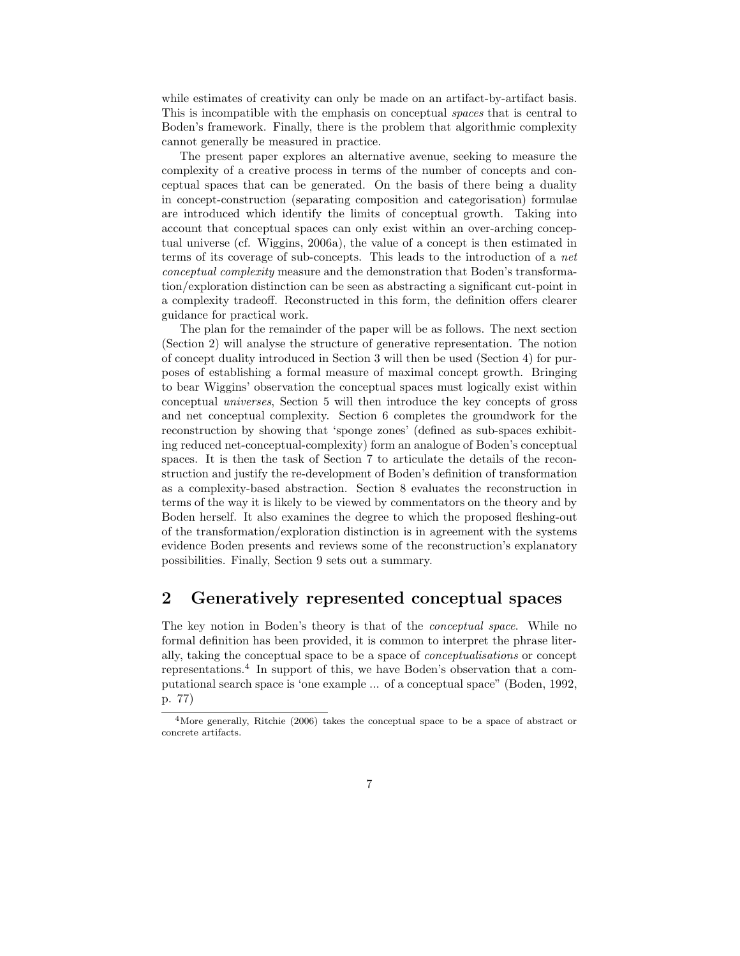while estimates of creativity can only be made on an artifact-by-artifact basis. This is incompatible with the emphasis on conceptual spaces that is central to Boden's framework. Finally, there is the problem that algorithmic complexity cannot generally be measured in practice.

The present paper explores an alternative avenue, seeking to measure the complexity of a creative process in terms of the number of concepts and conceptual spaces that can be generated. On the basis of there being a duality in concept-construction (separating composition and categorisation) formulae are introduced which identify the limits of conceptual growth. Taking into account that conceptual spaces can only exist within an over-arching conceptual universe (cf. Wiggins, 2006a), the value of a concept is then estimated in terms of its coverage of sub-concepts. This leads to the introduction of a net conceptual complexity measure and the demonstration that Boden's transformation/exploration distinction can be seen as abstracting a significant cut-point in a complexity tradeoff. Reconstructed in this form, the definition offers clearer guidance for practical work.

The plan for the remainder of the paper will be as follows. The next section (Section 2) will analyse the structure of generative representation. The notion of concept duality introduced in Section 3 will then be used (Section 4) for purposes of establishing a formal measure of maximal concept growth. Bringing to bear Wiggins' observation the conceptual spaces must logically exist within conceptual universes, Section 5 will then introduce the key concepts of gross and net conceptual complexity. Section 6 completes the groundwork for the reconstruction by showing that 'sponge zones' (defined as sub-spaces exhibiting reduced net-conceptual-complexity) form an analogue of Boden's conceptual spaces. It is then the task of Section 7 to articulate the details of the reconstruction and justify the re-development of Boden's definition of transformation as a complexity-based abstraction. Section 8 evaluates the reconstruction in terms of the way it is likely to be viewed by commentators on the theory and by Boden herself. It also examines the degree to which the proposed fleshing-out of the transformation/exploration distinction is in agreement with the systems evidence Boden presents and reviews some of the reconstruction's explanatory possibilities. Finally, Section 9 sets out a summary.

## 2 Generatively represented conceptual spaces

The key notion in Boden's theory is that of the conceptual space. While no formal definition has been provided, it is common to interpret the phrase literally, taking the conceptual space to be a space of conceptualisations or concept representations.<sup>4</sup> In support of this, we have Boden's observation that a computational search space is 'one example ... of a conceptual space" (Boden, 1992, p. 77)

<sup>4</sup>More generally, Ritchie (2006) takes the conceptual space to be a space of abstract or concrete artifacts.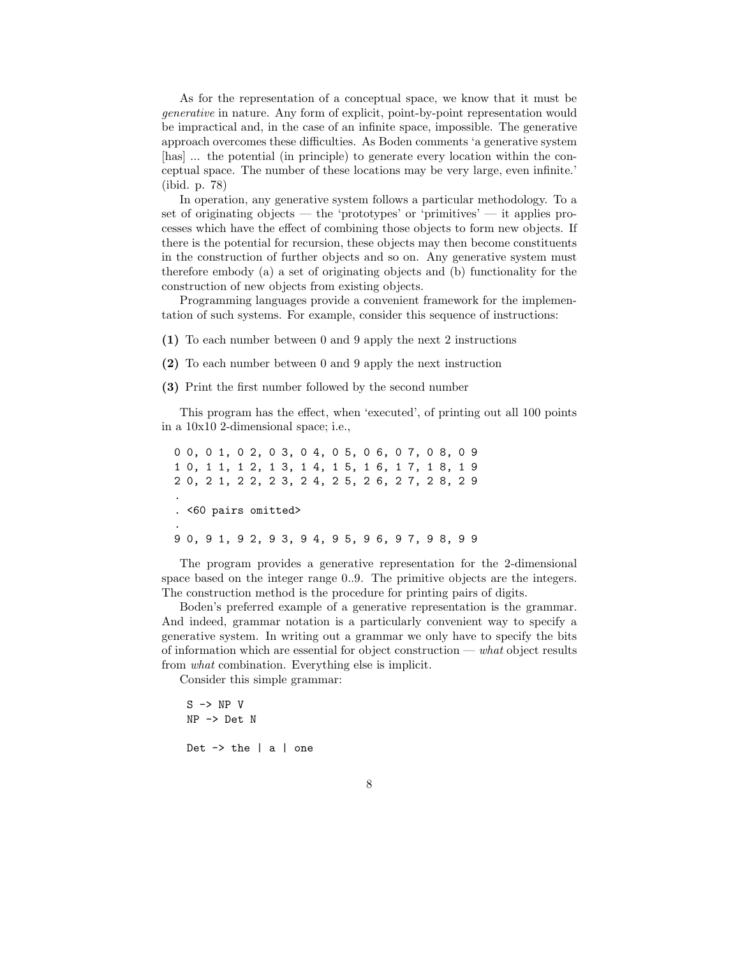As for the representation of a conceptual space, we know that it must be generative in nature. Any form of explicit, point-by-point representation would be impractical and, in the case of an infinite space, impossible. The generative approach overcomes these difficulties. As Boden comments 'a generative system [has] ... the potential (in principle) to generate every location within the conceptual space. The number of these locations may be very large, even infinite.' (ibid. p. 78)

In operation, any generative system follows a particular methodology. To a set of originating objects — the 'prototypes' or 'primitives' — it applies processes which have the effect of combining those objects to form new objects. If there is the potential for recursion, these objects may then become constituents in the construction of further objects and so on. Any generative system must therefore embody (a) a set of originating objects and (b) functionality for the construction of new objects from existing objects.

Programming languages provide a convenient framework for the implementation of such systems. For example, consider this sequence of instructions:

(1) To each number between 0 and 9 apply the next 2 instructions

(2) To each number between 0 and 9 apply the next instruction

(3) Print the first number followed by the second number

This program has the effect, when 'executed', of printing out all 100 points in a 10x10 2-dimensional space; i.e.,

0 0, 0 1, 0 2, 0 3, 0 4, 0 5, 0 6, 0 7, 0 8, 0 9 1 0, 1 1, 1 2, 1 3, 1 4, 1 5, 1 6, 1 7, 1 8, 1 9 2 0, 2 1, 2 2, 2 3, 2 4, 2 5, 2 6, 2 7, 2 8, 2 9 . . <60 pairs omitted> . 9 0, 9 1, 9 2, 9 3, 9 4, 9 5, 9 6, 9 7, 9 8, 9 9

The program provides a generative representation for the 2-dimensional space based on the integer range 0..9. The primitive objects are the integers. The construction method is the procedure for printing pairs of digits.

Boden's preferred example of a generative representation is the grammar. And indeed, grammar notation is a particularly convenient way to specify a generative system. In writing out a grammar we only have to specify the bits of information which are essential for object construction — what object results from what combination. Everything else is implicit.

Consider this simple grammar:

S -> NP V NP -> Det N

Det  $\rightarrow$  the  $|a|$  one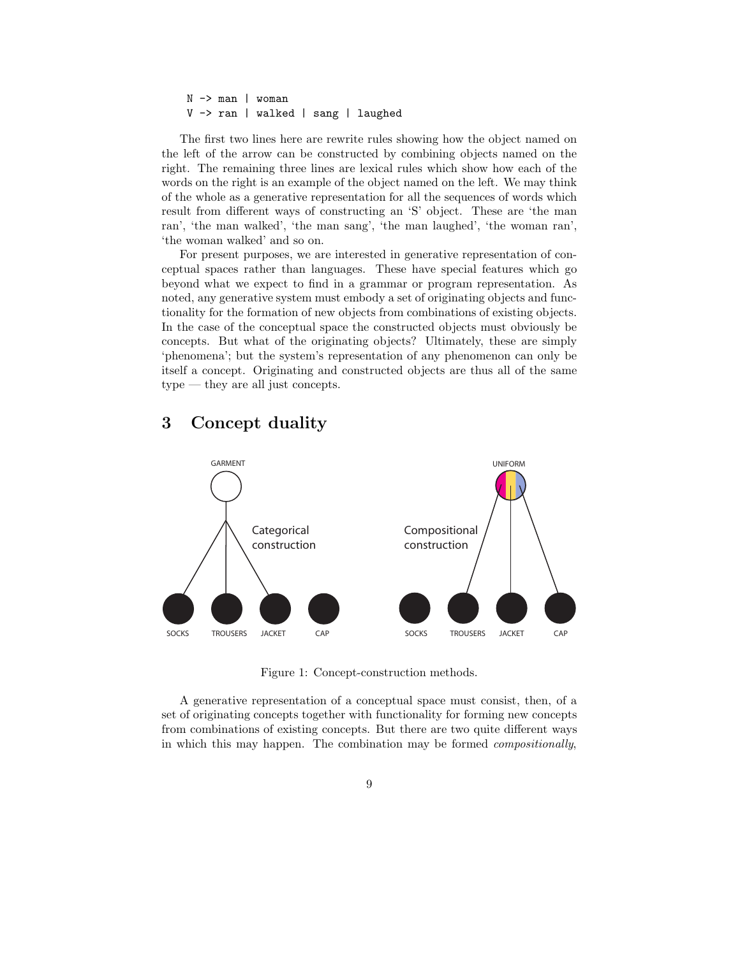N -> man | woman V -> ran | walked | sang | laughed

The first two lines here are rewrite rules showing how the object named on the left of the arrow can be constructed by combining objects named on the right. The remaining three lines are lexical rules which show how each of the words on the right is an example of the object named on the left. We may think of the whole as a generative representation for all the sequences of words which result from different ways of constructing an 'S' object. These are 'the man ran', 'the man walked', 'the man sang', 'the man laughed', 'the woman ran', 'the woman walked' and so on.

For present purposes, we are interested in generative representation of conceptual spaces rather than languages. These have special features which go beyond what we expect to find in a grammar or program representation. As noted, any generative system must embody a set of originating objects and functionality for the formation of new objects from combinations of existing objects. In the case of the conceptual space the constructed objects must obviously be concepts. But what of the originating objects? Ultimately, these are simply 'phenomena'; but the system's representation of any phenomenon can only be itself a concept. Originating and constructed objects are thus all of the same type — they are all just concepts.

## 3 Concept duality



Figure 1: Concept-construction methods.

A generative representation of a conceptual space must consist, then, of a set of originating concepts together with functionality for forming new concepts from combinations of existing concepts. But there are two quite different ways in which this may happen. The combination may be formed compositionally,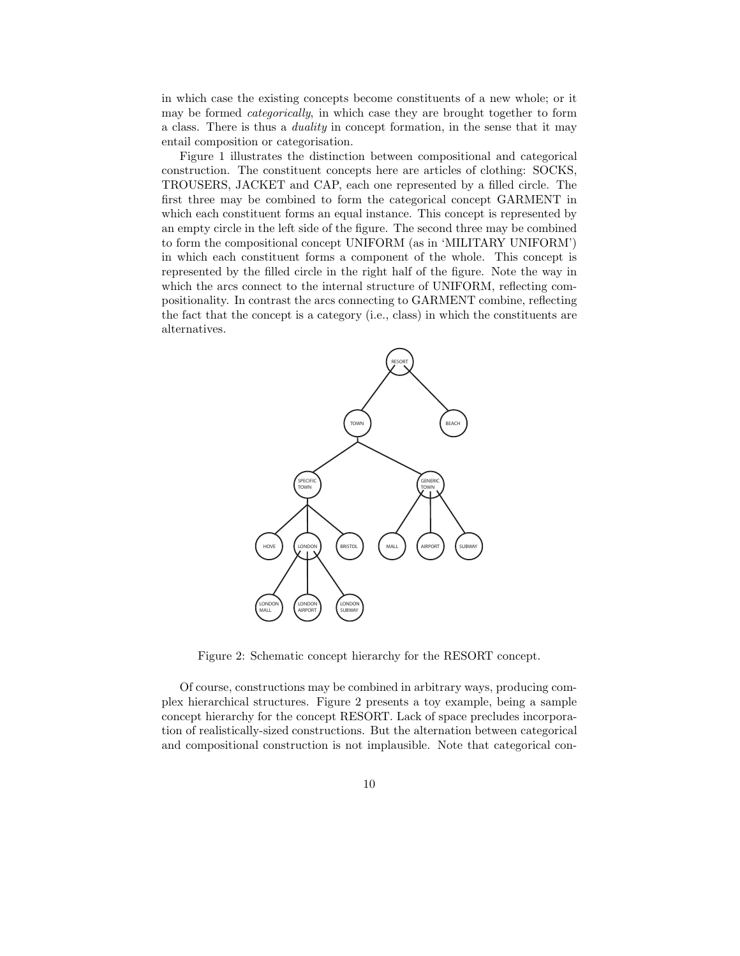in which case the existing concepts become constituents of a new whole; or it may be formed categorically, in which case they are brought together to form a class. There is thus a duality in concept formation, in the sense that it may entail composition or categorisation.

Figure 1 illustrates the distinction between compositional and categorical construction. The constituent concepts here are articles of clothing: SOCKS, TROUSERS, JACKET and CAP, each one represented by a filled circle. The first three may be combined to form the categorical concept GARMENT in which each constituent forms an equal instance. This concept is represented by an empty circle in the left side of the figure. The second three may be combined to form the compositional concept UNIFORM (as in 'MILITARY UNIFORM') in which each constituent forms a component of the whole. This concept is represented by the filled circle in the right half of the figure. Note the way in which the arcs connect to the internal structure of UNIFORM, reflecting compositionality. In contrast the arcs connecting to GARMENT combine, reflecting the fact that the concept is a category (i.e., class) in which the constituents are alternatives.



Figure 2: Schematic concept hierarchy for the RESORT concept.

Of course, constructions may be combined in arbitrary ways, producing complex hierarchical structures. Figure 2 presents a toy example, being a sample concept hierarchy for the concept RESORT. Lack of space precludes incorporation of realistically-sized constructions. But the alternation between categorical and compositional construction is not implausible. Note that categorical con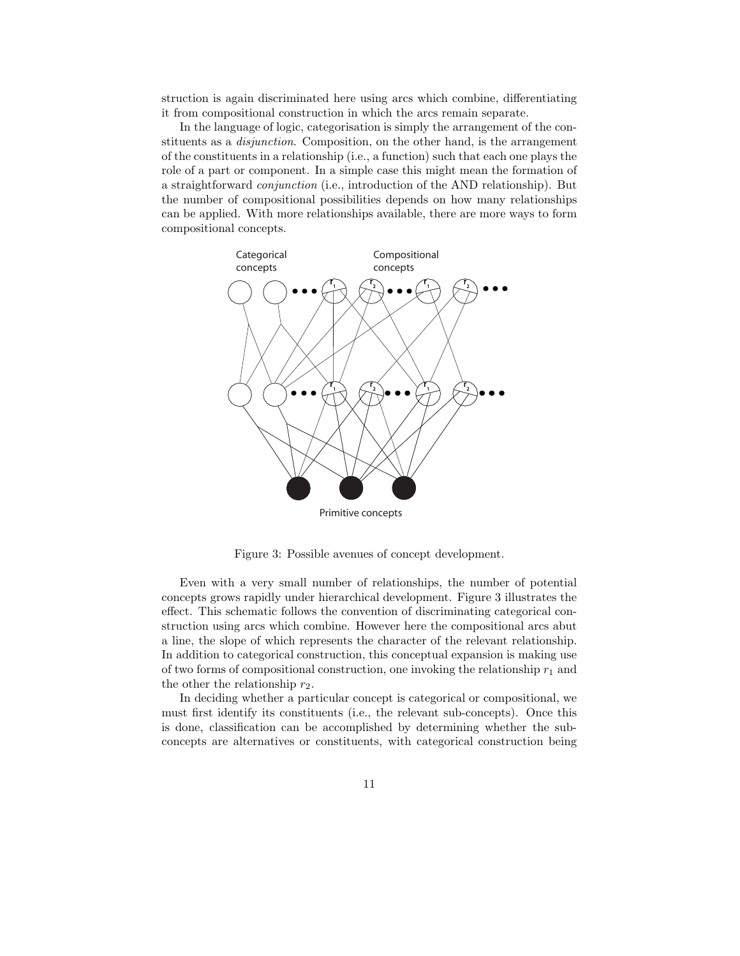struction is again discriminated here using arcs which combine, differentiating it from compositional construction in which the arcs remain separate.

In the language of logic, categorisation is simply the arrangement of the constituents as a disjunction. Composition, on the other hand, is the arrangement of the constituents in a relationship (i.e., a function) such that each one plays the role of a part or component. In a simple case this might mean the formation of a straightforward conjunction (i.e., introduction of the AND relationship). But the number of compositional possibilities depends on how many relationships can be applied. With more relationships available, there are more ways to form compositional concepts.



Primitive concepts

Figure 3: Possible avenues of concept development.

Even with a very small number of relationships, the number of potential concepts grows rapidly under hierarchical development. Figure 3 illustrates the effect. This schematic follows the convention of discriminating categorical construction using arcs which combine. However here the compositional arcs abut a line, the slope of which represents the character of the relevant relationship. In addition to categorical construction, this conceptual expansion is making use of two forms of compositional construction, one invoking the relationship  $r_1$  and the other the relationship  $r_2$ .

In deciding whether a particular concept is categorical or compositional, we must first identify its constituents (i.e., the relevant sub-concepts). Once this is done, classification can be accomplished by determining whether the subconcepts are alternatives or constituents, with categorical construction being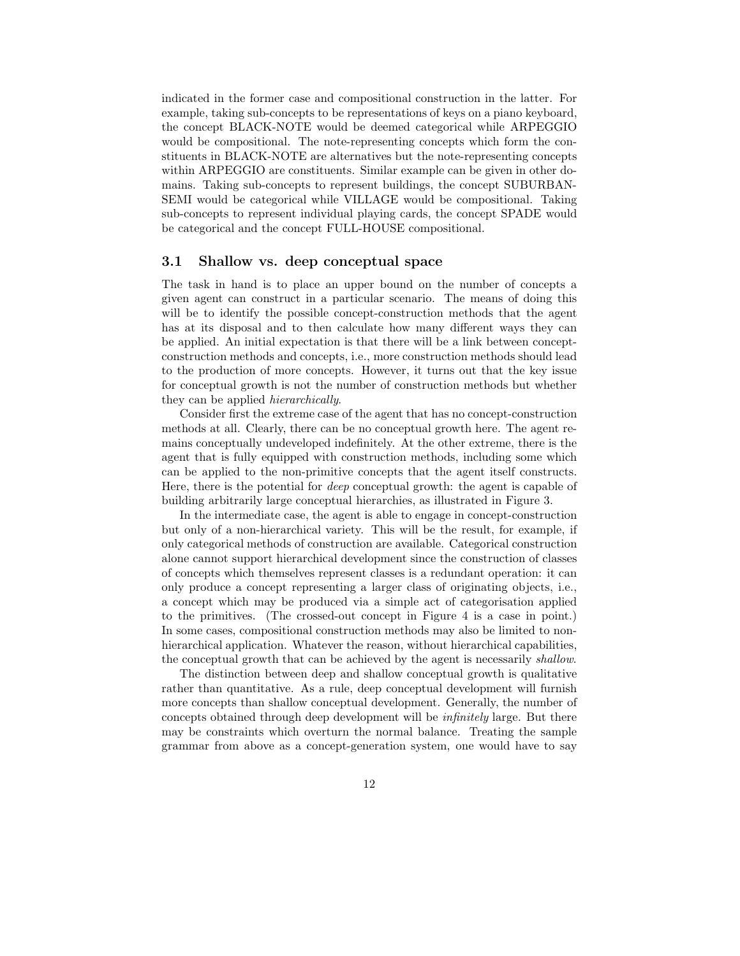indicated in the former case and compositional construction in the latter. For example, taking sub-concepts to be representations of keys on a piano keyboard, the concept BLACK-NOTE would be deemed categorical while ARPEGGIO would be compositional. The note-representing concepts which form the constituents in BLACK-NOTE are alternatives but the note-representing concepts within ARPEGGIO are constituents. Similar example can be given in other domains. Taking sub-concepts to represent buildings, the concept SUBURBAN-SEMI would be categorical while VILLAGE would be compositional. Taking sub-concepts to represent individual playing cards, the concept SPADE would be categorical and the concept FULL-HOUSE compositional.

#### 3.1 Shallow vs. deep conceptual space

The task in hand is to place an upper bound on the number of concepts a given agent can construct in a particular scenario. The means of doing this will be to identify the possible concept-construction methods that the agent has at its disposal and to then calculate how many different ways they can be applied. An initial expectation is that there will be a link between conceptconstruction methods and concepts, i.e., more construction methods should lead to the production of more concepts. However, it turns out that the key issue for conceptual growth is not the number of construction methods but whether they can be applied hierarchically.

Consider first the extreme case of the agent that has no concept-construction methods at all. Clearly, there can be no conceptual growth here. The agent remains conceptually undeveloped indefinitely. At the other extreme, there is the agent that is fully equipped with construction methods, including some which can be applied to the non-primitive concepts that the agent itself constructs. Here, there is the potential for deep conceptual growth: the agent is capable of building arbitrarily large conceptual hierarchies, as illustrated in Figure 3.

In the intermediate case, the agent is able to engage in concept-construction but only of a non-hierarchical variety. This will be the result, for example, if only categorical methods of construction are available. Categorical construction alone cannot support hierarchical development since the construction of classes of concepts which themselves represent classes is a redundant operation: it can only produce a concept representing a larger class of originating objects, i.e., a concept which may be produced via a simple act of categorisation applied to the primitives. (The crossed-out concept in Figure 4 is a case in point.) In some cases, compositional construction methods may also be limited to nonhierarchical application. Whatever the reason, without hierarchical capabilities, the conceptual growth that can be achieved by the agent is necessarily shallow.

The distinction between deep and shallow conceptual growth is qualitative rather than quantitative. As a rule, deep conceptual development will furnish more concepts than shallow conceptual development. Generally, the number of concepts obtained through deep development will be infinitely large. But there may be constraints which overturn the normal balance. Treating the sample grammar from above as a concept-generation system, one would have to say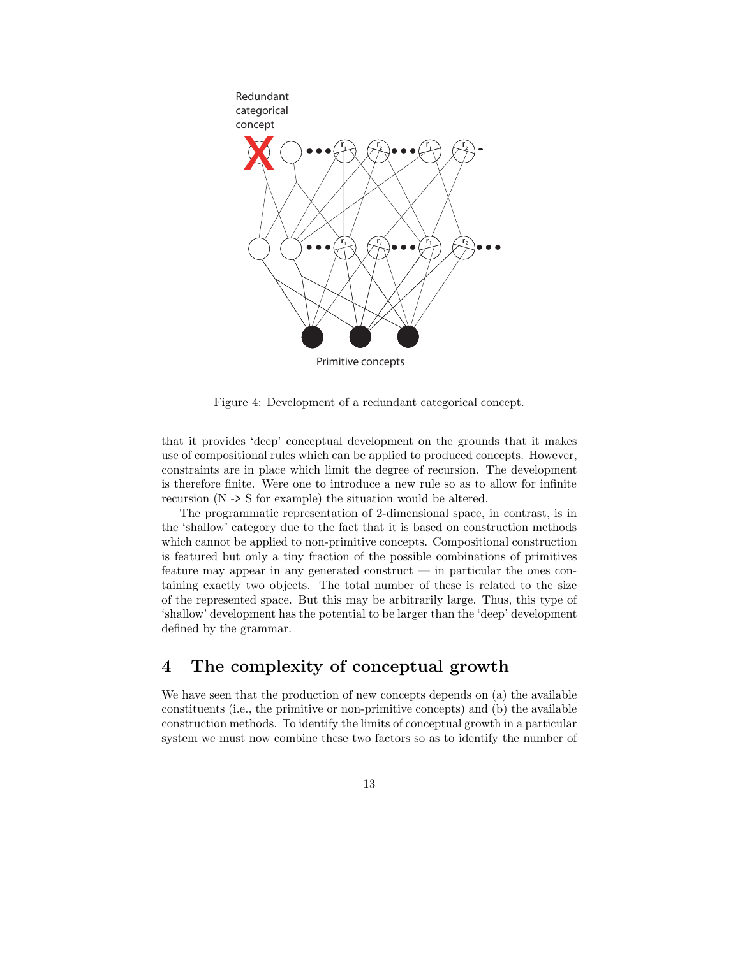

Primitive concepts

Figure 4: Development of a redundant categorical concept.

that it provides 'deep' conceptual development on the grounds that it makes use of compositional rules which can be applied to produced concepts. However, constraints are in place which limit the degree of recursion. The development is therefore finite. Were one to introduce a new rule so as to allow for infinite recursion (N -> S for example) the situation would be altered.

The programmatic representation of 2-dimensional space, in contrast, is in the 'shallow' category due to the fact that it is based on construction methods which cannot be applied to non-primitive concepts. Compositional construction is featured but only a tiny fraction of the possible combinations of primitives feature may appear in any generated construct — in particular the ones containing exactly two objects. The total number of these is related to the size of the represented space. But this may be arbitrarily large. Thus, this type of 'shallow' development has the potential to be larger than the 'deep' development defined by the grammar.

## 4 The complexity of conceptual growth

We have seen that the production of new concepts depends on (a) the available constituents (i.e., the primitive or non-primitive concepts) and (b) the available construction methods. To identify the limits of conceptual growth in a particular system we must now combine these two factors so as to identify the number of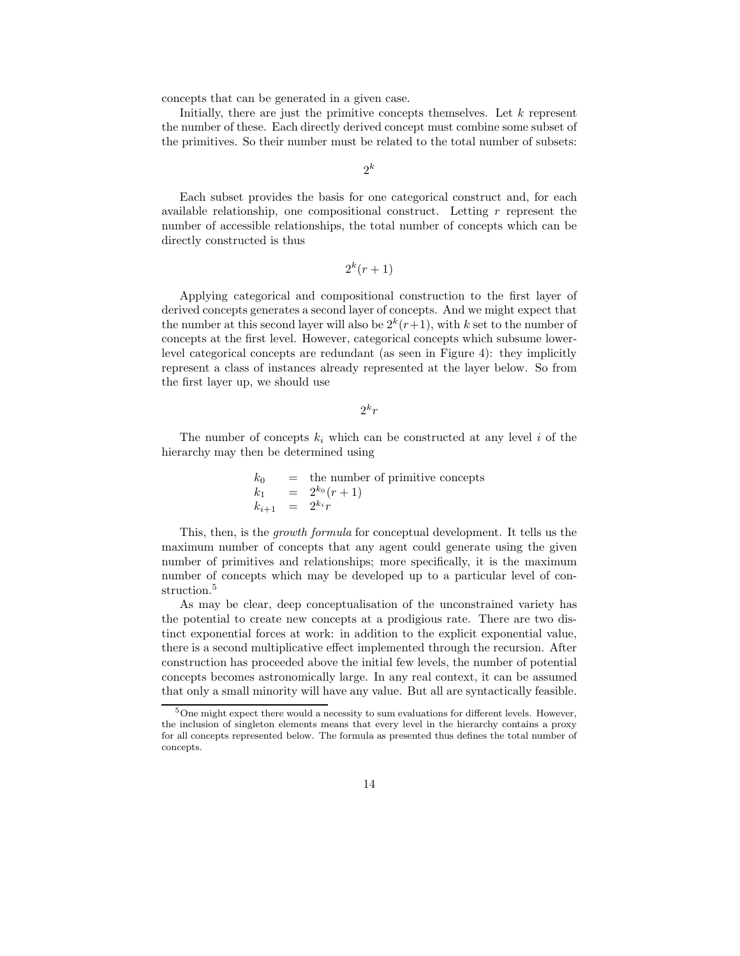concepts that can be generated in a given case.

Initially, there are just the primitive concepts themselves. Let  $k$  represent the number of these. Each directly derived concept must combine some subset of the primitives. So their number must be related to the total number of subsets:

 $2^k$ 

Each subset provides the basis for one categorical construct and, for each available relationship, one compositional construct. Letting  $r$  represent the number of accessible relationships, the total number of concepts which can be directly constructed is thus

$$
2^k(r+1)
$$

Applying categorical and compositional construction to the first layer of derived concepts generates a second layer of concepts. And we might expect that the number at this second layer will also be  $2^k(r+1)$ , with k set to the number of concepts at the first level. However, categorical concepts which subsume lowerlevel categorical concepts are redundant (as seen in Figure 4): they implicitly represent a class of instances already represented at the layer below. So from the first layer up, we should use

 $2^kr$ 

The number of concepts  $k_i$  which can be constructed at any level i of the hierarchy may then be determined using

> $k_0$  = the number of primitive concepts  $k_1 = 2^{k_0}(r+1)$  $k_{i+1} = 2^{k_i}r$

This, then, is the growth formula for conceptual development. It tells us the maximum number of concepts that any agent could generate using the given number of primitives and relationships; more specifically, it is the maximum number of concepts which may be developed up to a particular level of construction.<sup>5</sup>

As may be clear, deep conceptualisation of the unconstrained variety has the potential to create new concepts at a prodigious rate. There are two distinct exponential forces at work: in addition to the explicit exponential value, there is a second multiplicative effect implemented through the recursion. After construction has proceeded above the initial few levels, the number of potential concepts becomes astronomically large. In any real context, it can be assumed that only a small minority will have any value. But all are syntactically feasible.

 $5$ One might expect there would a necessity to sum evaluations for different levels. However, the inclusion of singleton elements means that every level in the hierarchy contains a proxy for all concepts represented below. The formula as presented thus defines the total number of concepts.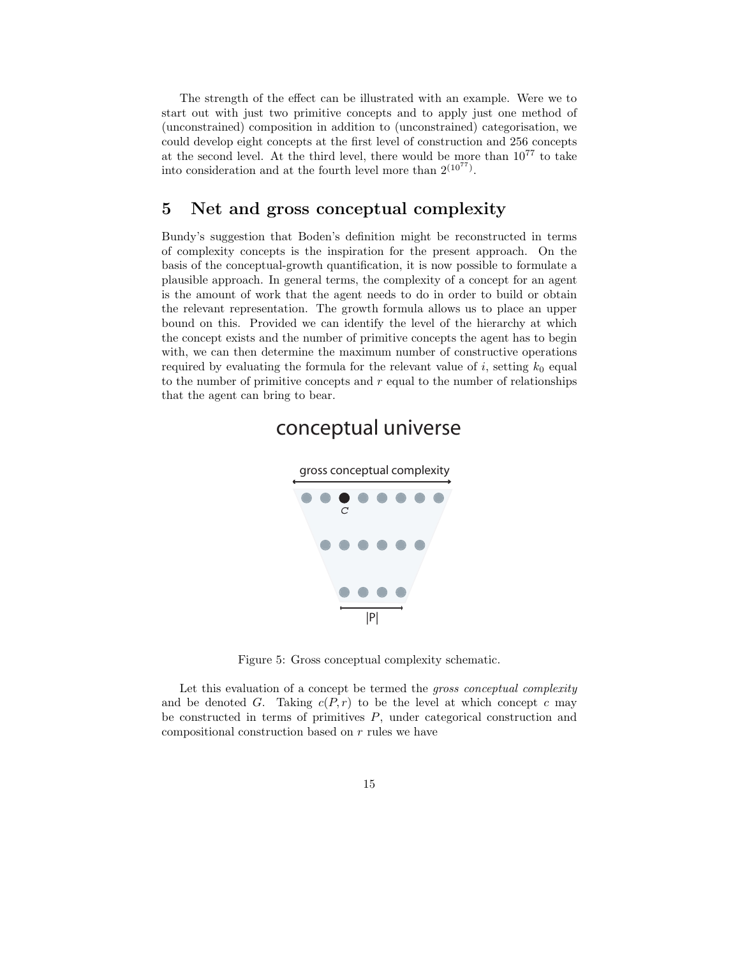The strength of the effect can be illustrated with an example. Were we to start out with just two primitive concepts and to apply just one method of (unconstrained) composition in addition to (unconstrained) categorisation, we could develop eight concepts at the first level of construction and 256 concepts at the second level. At the third level, there would be more than  $10^{77}$  to take into consideration and at the fourth level more than  $2^{(10^{77})}$ .

### 5 Net and gross conceptual complexity

Bundy's suggestion that Boden's definition might be reconstructed in terms of complexity concepts is the inspiration for the present approach. On the basis of the conceptual-growth quantification, it is now possible to formulate a plausible approach. In general terms, the complexity of a concept for an agent is the amount of work that the agent needs to do in order to build or obtain the relevant representation. The growth formula allows us to place an upper bound on this. Provided we can identify the level of the hierarchy at which the concept exists and the number of primitive concepts the agent has to begin with, we can then determine the maximum number of constructive operations required by evaluating the formula for the relevant value of i, setting  $k_0$  equal to the number of primitive concepts and  $r$  equal to the number of relationships that the agent can bring to bear.

## conceptual universe



Figure 5: Gross conceptual complexity schematic.

Let this evaluation of a concept be termed the *gross conceptual complexity* and be denoted G. Taking  $c(P,r)$  to be the level at which concept c may be constructed in terms of primitives  $P$ , under categorical construction and compositional construction based on r rules we have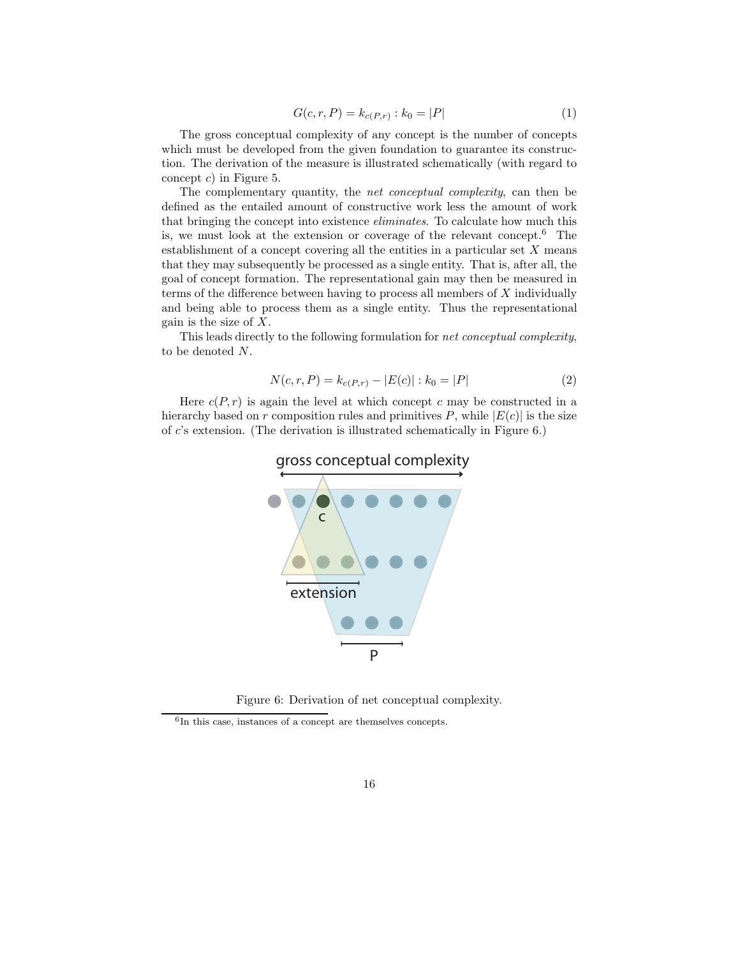$$
G(c, r, P) = k_{c(P,r)} : k_0 = |P|
$$
\n(1)

The gross conceptual complexity of any concept is the number of concepts which must be developed from the given foundation to guarantee its construction. The derivation of the measure is illustrated schematically (with regard to concept  $c$ ) in Figure 5.

The complementary quantity, the *net conceptual complexity*, can then be defined as the entailed amount of constructive work less the amount of work that bringing the concept into existence eliminates. To calculate how much this is, we must look at the extension or coverage of the relevant concept.<sup>6</sup> The establishment of a concept covering all the entities in a particular set  $X$  means that they may subsequently be processed as a single entity. That is, after all, the goal of concept formation. The representational gain may then be measured in terms of the difference between having to process all members of  $X$  individually and being able to process them as a single entity. Thus the representational gain is the size of  $X$ .

This leads directly to the following formulation for net conceptual complexity, to be denoted N.

$$
N(c, r, P) = k_{c(P,r)} - |E(c)| : k_0 = |P|
$$
\n(2)

Here  $c(P, r)$  is again the level at which concept c may be constructed in a hierarchy based on r composition rules and primitives P, while  $|E(c)|$  is the size of c's extension. (The derivation is illustrated schematically in Figure 6.)



Figure 6: Derivation of net conceptual complexity.

 ${}^{6}$  In this case, instances of a concept are themselves concepts.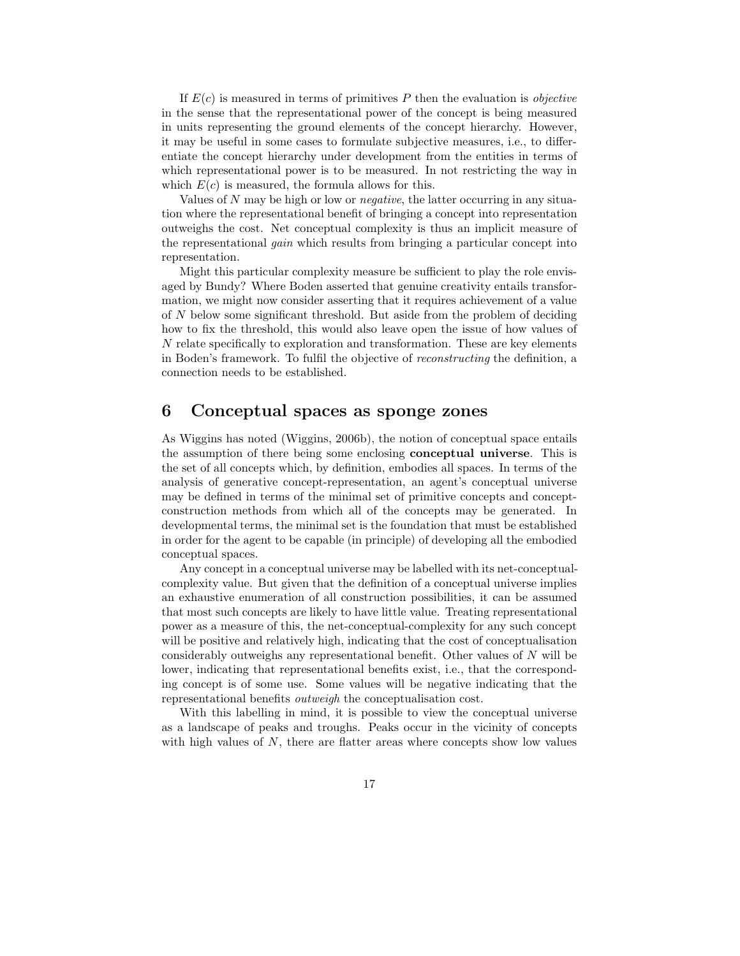If  $E(c)$  is measured in terms of primitives P then the evaluation is *objective* in the sense that the representational power of the concept is being measured in units representing the ground elements of the concept hierarchy. However, it may be useful in some cases to formulate subjective measures, i.e., to differentiate the concept hierarchy under development from the entities in terms of which representational power is to be measured. In not restricting the way in which  $E(c)$  is measured, the formula allows for this.

Values of  $N$  may be high or low or *negative*, the latter occurring in any situation where the representational benefit of bringing a concept into representation outweighs the cost. Net conceptual complexity is thus an implicit measure of the representational gain which results from bringing a particular concept into representation.

Might this particular complexity measure be sufficient to play the role envisaged by Bundy? Where Boden asserted that genuine creativity entails transformation, we might now consider asserting that it requires achievement of a value of N below some significant threshold. But aside from the problem of deciding how to fix the threshold, this would also leave open the issue of how values of N relate specifically to exploration and transformation. These are key elements in Boden's framework. To fulfil the objective of reconstructing the definition, a connection needs to be established.

## 6 Conceptual spaces as sponge zones

As Wiggins has noted (Wiggins, 2006b), the notion of conceptual space entails the assumption of there being some enclosing conceptual universe. This is the set of all concepts which, by definition, embodies all spaces. In terms of the analysis of generative concept-representation, an agent's conceptual universe may be defined in terms of the minimal set of primitive concepts and conceptconstruction methods from which all of the concepts may be generated. In developmental terms, the minimal set is the foundation that must be established in order for the agent to be capable (in principle) of developing all the embodied conceptual spaces.

Any concept in a conceptual universe may be labelled with its net-conceptualcomplexity value. But given that the definition of a conceptual universe implies an exhaustive enumeration of all construction possibilities, it can be assumed that most such concepts are likely to have little value. Treating representational power as a measure of this, the net-conceptual-complexity for any such concept will be positive and relatively high, indicating that the cost of conceptualisation considerably outweighs any representational benefit. Other values of  $N$  will be lower, indicating that representational benefits exist, i.e., that the corresponding concept is of some use. Some values will be negative indicating that the representational benefits outweigh the conceptualisation cost.

With this labelling in mind, it is possible to view the conceptual universe as a landscape of peaks and troughs. Peaks occur in the vicinity of concepts with high values of  $N$ , there are flatter areas where concepts show low values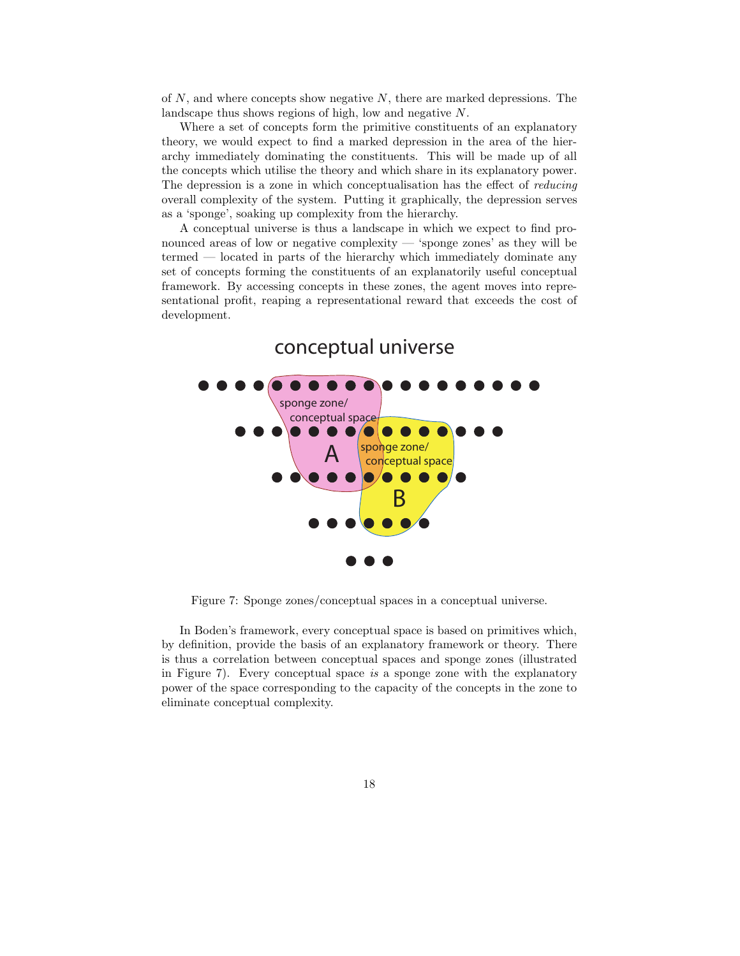of  $N$ , and where concepts show negative  $N$ , there are marked depressions. The landscape thus shows regions of high, low and negative N.

Where a set of concepts form the primitive constituents of an explanatory theory, we would expect to find a marked depression in the area of the hierarchy immediately dominating the constituents. This will be made up of all the concepts which utilise the theory and which share in its explanatory power. The depression is a zone in which conceptualisation has the effect of reducing overall complexity of the system. Putting it graphically, the depression serves as a 'sponge', soaking up complexity from the hierarchy.

A conceptual universe is thus a landscape in which we expect to find pronounced areas of low or negative complexity — 'sponge zones' as they will be termed — located in parts of the hierarchy which immediately dominate any set of concepts forming the constituents of an explanatorily useful conceptual framework. By accessing concepts in these zones, the agent moves into representational profit, reaping a representational reward that exceeds the cost of development.



## conceptual universe

Figure 7: Sponge zones/conceptual spaces in a conceptual universe.

In Boden's framework, every conceptual space is based on primitives which, by definition, provide the basis of an explanatory framework or theory. There is thus a correlation between conceptual spaces and sponge zones (illustrated in Figure 7). Every conceptual space is a sponge zone with the explanatory power of the space corresponding to the capacity of the concepts in the zone to eliminate conceptual complexity.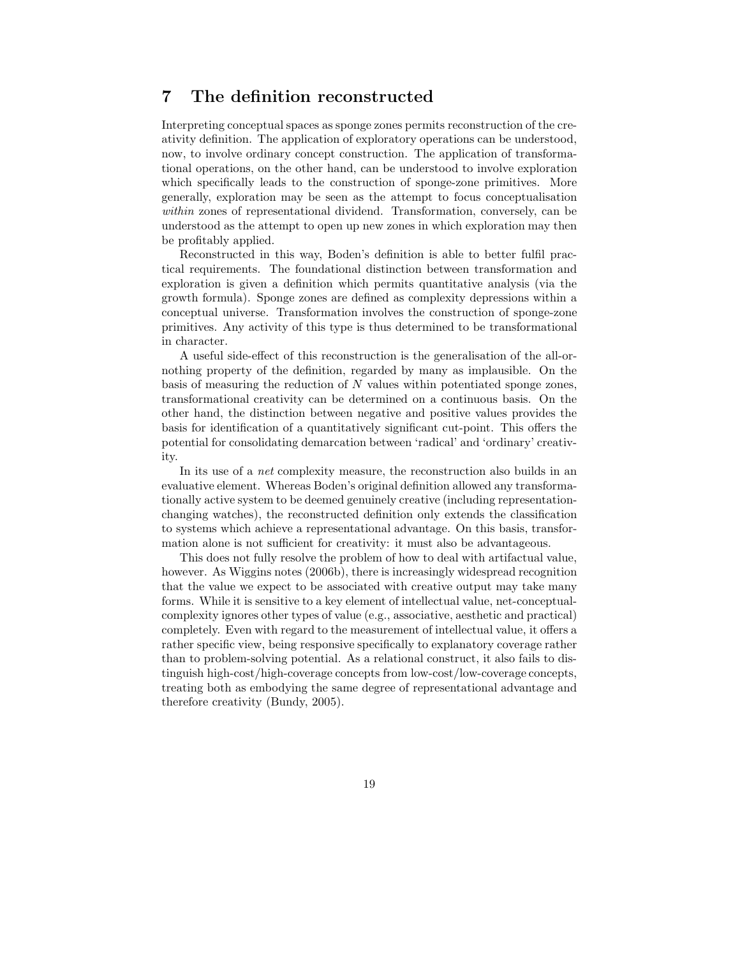### 7 The definition reconstructed

Interpreting conceptual spaces as sponge zones permits reconstruction of the creativity definition. The application of exploratory operations can be understood, now, to involve ordinary concept construction. The application of transformational operations, on the other hand, can be understood to involve exploration which specifically leads to the construction of sponge-zone primitives. More generally, exploration may be seen as the attempt to focus conceptualisation within zones of representational dividend. Transformation, conversely, can be understood as the attempt to open up new zones in which exploration may then be profitably applied.

Reconstructed in this way, Boden's definition is able to better fulfil practical requirements. The foundational distinction between transformation and exploration is given a definition which permits quantitative analysis (via the growth formula). Sponge zones are defined as complexity depressions within a conceptual universe. Transformation involves the construction of sponge-zone primitives. Any activity of this type is thus determined to be transformational in character.

A useful side-effect of this reconstruction is the generalisation of the all-ornothing property of the definition, regarded by many as implausible. On the basis of measuring the reduction of  $N$  values within potentiated sponge zones, transformational creativity can be determined on a continuous basis. On the other hand, the distinction between negative and positive values provides the basis for identification of a quantitatively significant cut-point. This offers the potential for consolidating demarcation between 'radical' and 'ordinary' creativity.

In its use of a net complexity measure, the reconstruction also builds in an evaluative element. Whereas Boden's original definition allowed any transformationally active system to be deemed genuinely creative (including representationchanging watches), the reconstructed definition only extends the classification to systems which achieve a representational advantage. On this basis, transformation alone is not sufficient for creativity: it must also be advantageous.

This does not fully resolve the problem of how to deal with artifactual value, however. As Wiggins notes (2006b), there is increasingly widespread recognition that the value we expect to be associated with creative output may take many forms. While it is sensitive to a key element of intellectual value, net-conceptualcomplexity ignores other types of value (e.g., associative, aesthetic and practical) completely. Even with regard to the measurement of intellectual value, it offers a rather specific view, being responsive specifically to explanatory coverage rather than to problem-solving potential. As a relational construct, it also fails to distinguish high-cost/high-coverage concepts from low-cost/low-coverage concepts, treating both as embodying the same degree of representational advantage and therefore creativity (Bundy, 2005).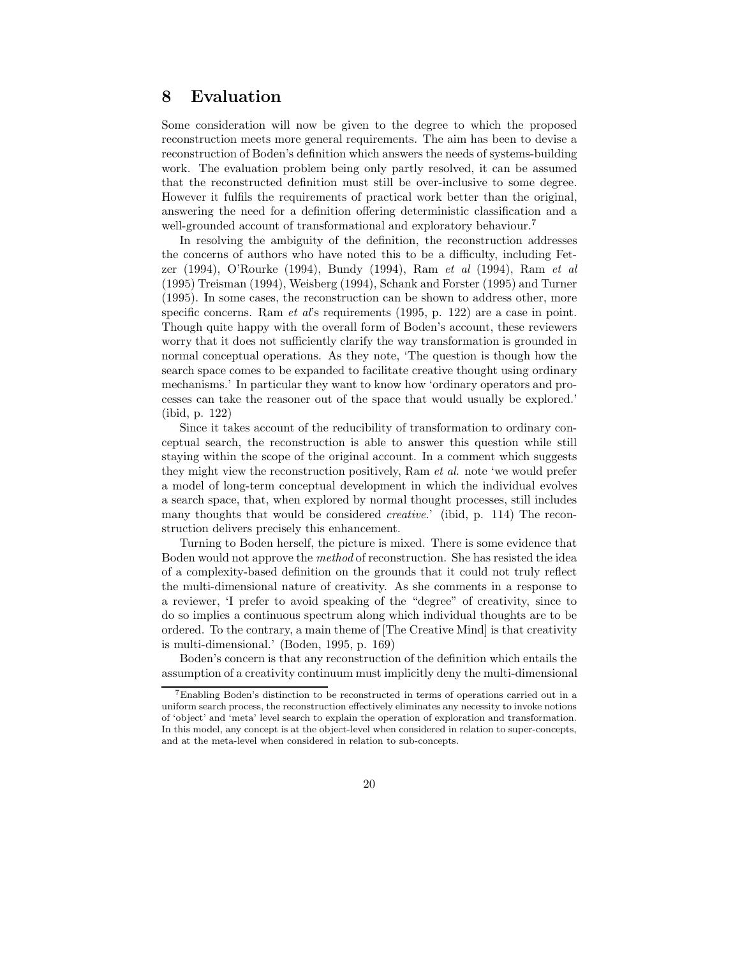### 8 Evaluation

Some consideration will now be given to the degree to which the proposed reconstruction meets more general requirements. The aim has been to devise a reconstruction of Boden's definition which answers the needs of systems-building work. The evaluation problem being only partly resolved, it can be assumed that the reconstructed definition must still be over-inclusive to some degree. However it fulfils the requirements of practical work better than the original, answering the need for a definition offering deterministic classification and a well-grounded account of transformational and exploratory behaviour.<sup>7</sup>

In resolving the ambiguity of the definition, the reconstruction addresses the concerns of authors who have noted this to be a difficulty, including Fetzer (1994), O'Rourke (1994), Bundy (1994), Ram et al (1994), Ram et al (1995) Treisman (1994), Weisberg (1994), Schank and Forster (1995) and Turner (1995). In some cases, the reconstruction can be shown to address other, more specific concerns. Ram *et al's* requirements (1995, p. 122) are a case in point. Though quite happy with the overall form of Boden's account, these reviewers worry that it does not sufficiently clarify the way transformation is grounded in normal conceptual operations. As they note, 'The question is though how the search space comes to be expanded to facilitate creative thought using ordinary mechanisms.' In particular they want to know how 'ordinary operators and processes can take the reasoner out of the space that would usually be explored.' (ibid, p. 122)

Since it takes account of the reducibility of transformation to ordinary conceptual search, the reconstruction is able to answer this question while still staying within the scope of the original account. In a comment which suggests they might view the reconstruction positively, Ram et al. note 'we would prefer a model of long-term conceptual development in which the individual evolves a search space, that, when explored by normal thought processes, still includes many thoughts that would be considered creative.' (ibid, p. 114) The reconstruction delivers precisely this enhancement.

Turning to Boden herself, the picture is mixed. There is some evidence that Boden would not approve the method of reconstruction. She has resisted the idea of a complexity-based definition on the grounds that it could not truly reflect the multi-dimensional nature of creativity. As she comments in a response to a reviewer, 'I prefer to avoid speaking of the "degree" of creativity, since to do so implies a continuous spectrum along which individual thoughts are to be ordered. To the contrary, a main theme of [The Creative Mind] is that creativity is multi-dimensional.' (Boden, 1995, p. 169)

Boden's concern is that any reconstruction of the definition which entails the assumption of a creativity continuum must implicitly deny the multi-dimensional

 $7$ Enabling Boden's distinction to be reconstructed in terms of operations carried out in a uniform search process, the reconstruction effectively eliminates any necessity to invoke notions of 'object' and 'meta' level search to explain the operation of exploration and transformation. In this model, any concept is at the object-level when considered in relation to super-concepts, and at the meta-level when considered in relation to sub-concepts.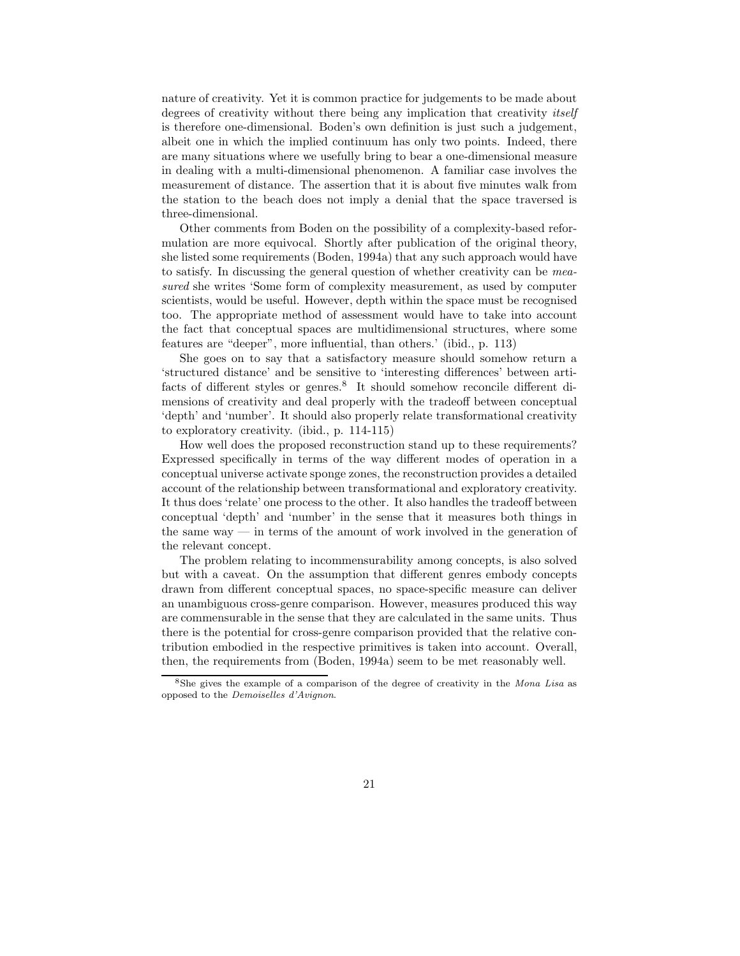nature of creativity. Yet it is common practice for judgements to be made about degrees of creativity without there being any implication that creativity *itself* is therefore one-dimensional. Boden's own definition is just such a judgement, albeit one in which the implied continuum has only two points. Indeed, there are many situations where we usefully bring to bear a one-dimensional measure in dealing with a multi-dimensional phenomenon. A familiar case involves the measurement of distance. The assertion that it is about five minutes walk from the station to the beach does not imply a denial that the space traversed is three-dimensional.

Other comments from Boden on the possibility of a complexity-based reformulation are more equivocal. Shortly after publication of the original theory, she listed some requirements (Boden, 1994a) that any such approach would have to satisfy. In discussing the general question of whether creativity can be measured she writes 'Some form of complexity measurement, as used by computer scientists, would be useful. However, depth within the space must be recognised too. The appropriate method of assessment would have to take into account the fact that conceptual spaces are multidimensional structures, where some features are "deeper", more influential, than others.' (ibid., p. 113)

She goes on to say that a satisfactory measure should somehow return a 'structured distance' and be sensitive to 'interesting differences' between artifacts of different styles or genres.<sup>8</sup> It should somehow reconcile different dimensions of creativity and deal properly with the tradeoff between conceptual 'depth' and 'number'. It should also properly relate transformational creativity to exploratory creativity. (ibid., p. 114-115)

How well does the proposed reconstruction stand up to these requirements? Expressed specifically in terms of the way different modes of operation in a conceptual universe activate sponge zones, the reconstruction provides a detailed account of the relationship between transformational and exploratory creativity. It thus does 'relate' one process to the other. It also handles the tradeoff between conceptual 'depth' and 'number' in the sense that it measures both things in the same way — in terms of the amount of work involved in the generation of the relevant concept.

The problem relating to incommensurability among concepts, is also solved but with a caveat. On the assumption that different genres embody concepts drawn from different conceptual spaces, no space-specific measure can deliver an unambiguous cross-genre comparison. However, measures produced this way are commensurable in the sense that they are calculated in the same units. Thus there is the potential for cross-genre comparison provided that the relative contribution embodied in the respective primitives is taken into account. Overall, then, the requirements from (Boden, 1994a) seem to be met reasonably well.

<sup>&</sup>lt;sup>8</sup>She gives the example of a comparison of the degree of creativity in the Mona Lisa as opposed to the Demoiselles d'Avignon.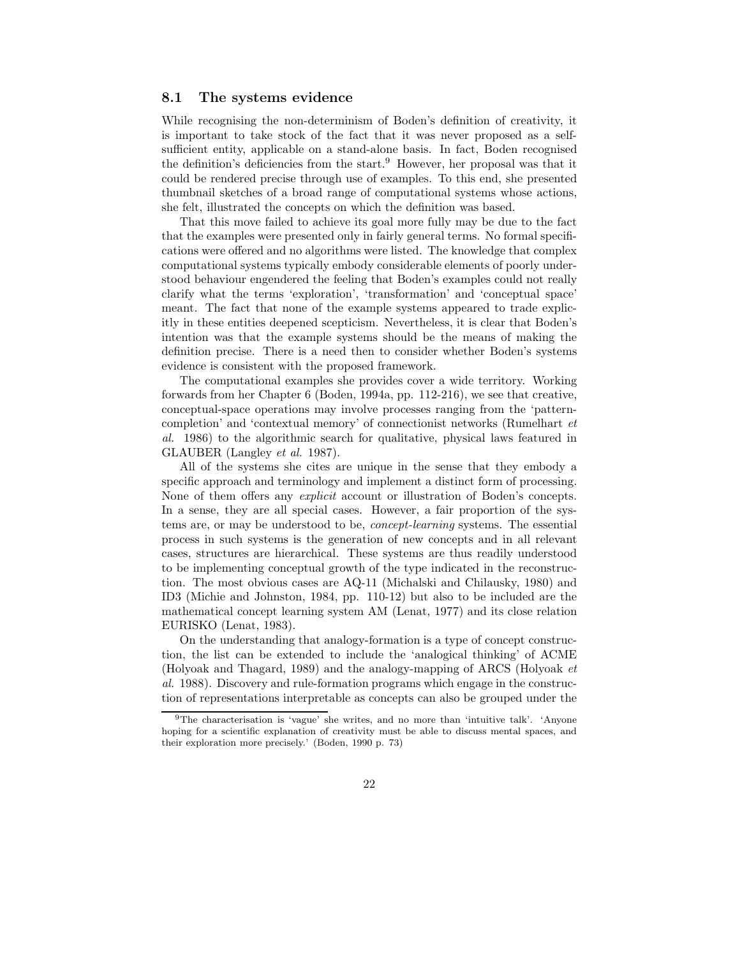#### 8.1 The systems evidence

While recognising the non-determinism of Boden's definition of creativity, it is important to take stock of the fact that it was never proposed as a selfsufficient entity, applicable on a stand-alone basis. In fact, Boden recognised the definition's deficiencies from the start.<sup>9</sup> However, her proposal was that it could be rendered precise through use of examples. To this end, she presented thumbnail sketches of a broad range of computational systems whose actions, she felt, illustrated the concepts on which the definition was based.

That this move failed to achieve its goal more fully may be due to the fact that the examples were presented only in fairly general terms. No formal specifications were offered and no algorithms were listed. The knowledge that complex computational systems typically embody considerable elements of poorly understood behaviour engendered the feeling that Boden's examples could not really clarify what the terms 'exploration', 'transformation' and 'conceptual space' meant. The fact that none of the example systems appeared to trade explicitly in these entities deepened scepticism. Nevertheless, it is clear that Boden's intention was that the example systems should be the means of making the definition precise. There is a need then to consider whether Boden's systems evidence is consistent with the proposed framework.

The computational examples she provides cover a wide territory. Working forwards from her Chapter 6 (Boden, 1994a, pp. 112-216), we see that creative, conceptual-space operations may involve processes ranging from the 'patterncompletion' and 'contextual memory' of connectionist networks (Rumelhart et al. 1986) to the algorithmic search for qualitative, physical laws featured in GLAUBER (Langley et al. 1987).

All of the systems she cites are unique in the sense that they embody a specific approach and terminology and implement a distinct form of processing. None of them offers any explicit account or illustration of Boden's concepts. In a sense, they are all special cases. However, a fair proportion of the systems are, or may be understood to be, concept-learning systems. The essential process in such systems is the generation of new concepts and in all relevant cases, structures are hierarchical. These systems are thus readily understood to be implementing conceptual growth of the type indicated in the reconstruction. The most obvious cases are AQ-11 (Michalski and Chilausky, 1980) and ID3 (Michie and Johnston, 1984, pp. 110-12) but also to be included are the mathematical concept learning system AM (Lenat, 1977) and its close relation EURISKO (Lenat, 1983).

On the understanding that analogy-formation is a type of concept construction, the list can be extended to include the 'analogical thinking' of ACME (Holyoak and Thagard, 1989) and the analogy-mapping of ARCS (Holyoak et al. 1988). Discovery and rule-formation programs which engage in the construction of representations interpretable as concepts can also be grouped under the

<sup>&</sup>lt;sup>9</sup>The characterisation is 'vague' she writes, and no more than 'intuitive talk'. 'Anyone hoping for a scientific explanation of creativity must be able to discuss mental spaces, and their exploration more precisely.' (Boden, 1990 p. 73)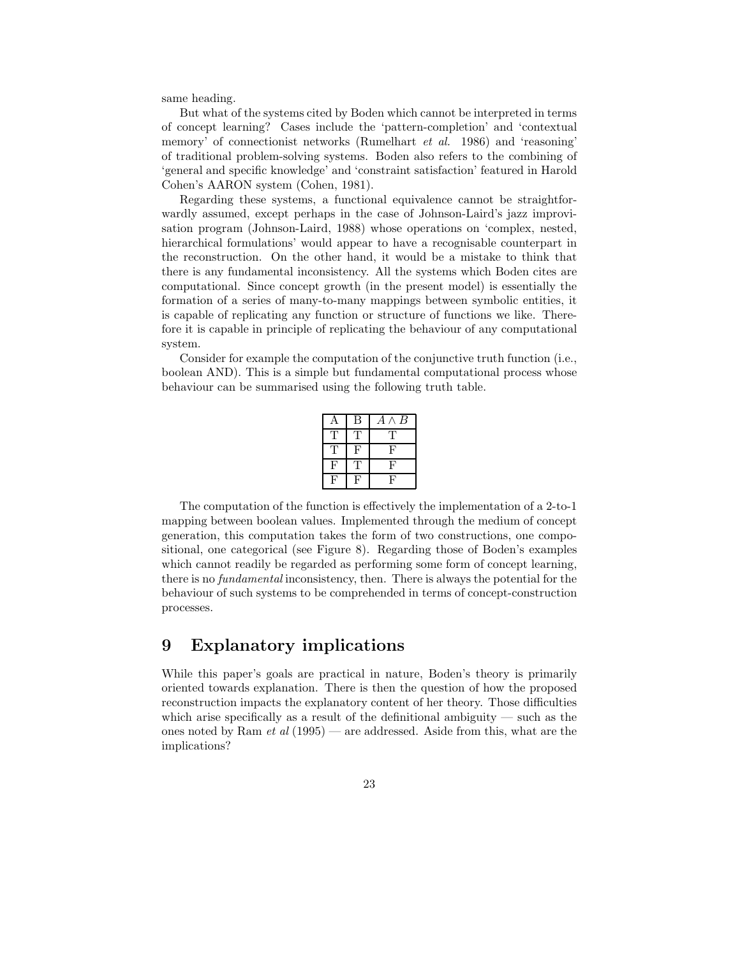same heading.

But what of the systems cited by Boden which cannot be interpreted in terms of concept learning? Cases include the 'pattern-completion' and 'contextual memory' of connectionist networks (Rumelhart et al. 1986) and 'reasoning' of traditional problem-solving systems. Boden also refers to the combining of 'general and specific knowledge' and 'constraint satisfaction' featured in Harold Cohen's AARON system (Cohen, 1981).

Regarding these systems, a functional equivalence cannot be straightforwardly assumed, except perhaps in the case of Johnson-Laird's jazz improvisation program (Johnson-Laird, 1988) whose operations on 'complex, nested, hierarchical formulations' would appear to have a recognisable counterpart in the reconstruction. On the other hand, it would be a mistake to think that there is any fundamental inconsistency. All the systems which Boden cites are computational. Since concept growth (in the present model) is essentially the formation of a series of many-to-many mappings between symbolic entities, it is capable of replicating any function or structure of functions we like. Therefore it is capable in principle of replicating the behaviour of any computational system.

Consider for example the computation of the conjunctive truth function (i.e., boolean AND). This is a simple but fundamental computational process whose behaviour can be summarised using the following truth table.

| A | В | $\boldsymbol{B}$<br>$A \wedge$ |
|---|---|--------------------------------|
| Т | Т | T                              |
| Т | F | F                              |
| F | Т | $\mathbf{F}$                   |
| H | F | F                              |

The computation of the function is effectively the implementation of a 2-to-1 mapping between boolean values. Implemented through the medium of concept generation, this computation takes the form of two constructions, one compositional, one categorical (see Figure 8). Regarding those of Boden's examples which cannot readily be regarded as performing some form of concept learning, there is no fundamental inconsistency, then. There is always the potential for the behaviour of such systems to be comprehended in terms of concept-construction processes.

## 9 Explanatory implications

While this paper's goals are practical in nature, Boden's theory is primarily oriented towards explanation. There is then the question of how the proposed reconstruction impacts the explanatory content of her theory. Those difficulties which arise specifically as a result of the definitional ambiguity  $-$  such as the ones noted by Ram  $et\ al\ (1995)$  — are addressed. Aside from this, what are the implications?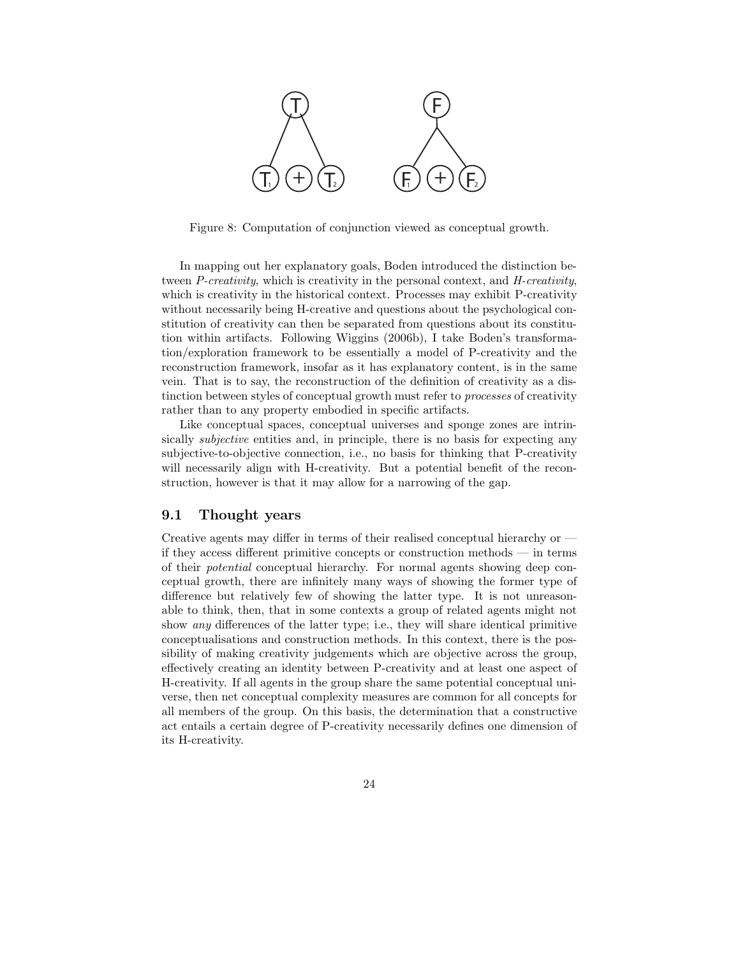

Figure 8: Computation of conjunction viewed as conceptual growth.

In mapping out her explanatory goals, Boden introduced the distinction between P-creativity, which is creativity in the personal context, and H-creativity, which is creativity in the historical context. Processes may exhibit P-creativity without necessarily being H-creative and questions about the psychological constitution of creativity can then be separated from questions about its constitution within artifacts. Following Wiggins (2006b), I take Boden's transformation/exploration framework to be essentially a model of P-creativity and the reconstruction framework, insofar as it has explanatory content, is in the same vein. That is to say, the reconstruction of the definition of creativity as a distinction between styles of conceptual growth must refer to processes of creativity rather than to any property embodied in specific artifacts.

Like conceptual spaces, conceptual universes and sponge zones are intrinsically *subjective* entities and, in principle, there is no basis for expecting any subjective-to-objective connection, i.e., no basis for thinking that P-creativity will necessarily align with H-creativity. But a potential benefit of the reconstruction, however is that it may allow for a narrowing of the gap.

### 9.1 Thought years

Creative agents may differ in terms of their realised conceptual hierarchy or if they access different primitive concepts or construction methods — in terms of their potential conceptual hierarchy. For normal agents showing deep conceptual growth, there are infinitely many ways of showing the former type of difference but relatively few of showing the latter type. It is not unreasonable to think, then, that in some contexts a group of related agents might not show any differences of the latter type; i.e., they will share identical primitive conceptualisations and construction methods. In this context, there is the possibility of making creativity judgements which are objective across the group, effectively creating an identity between P-creativity and at least one aspect of H-creativity. If all agents in the group share the same potential conceptual universe, then net conceptual complexity measures are common for all concepts for all members of the group. On this basis, the determination that a constructive act entails a certain degree of P-creativity necessarily defines one dimension of its H-creativity.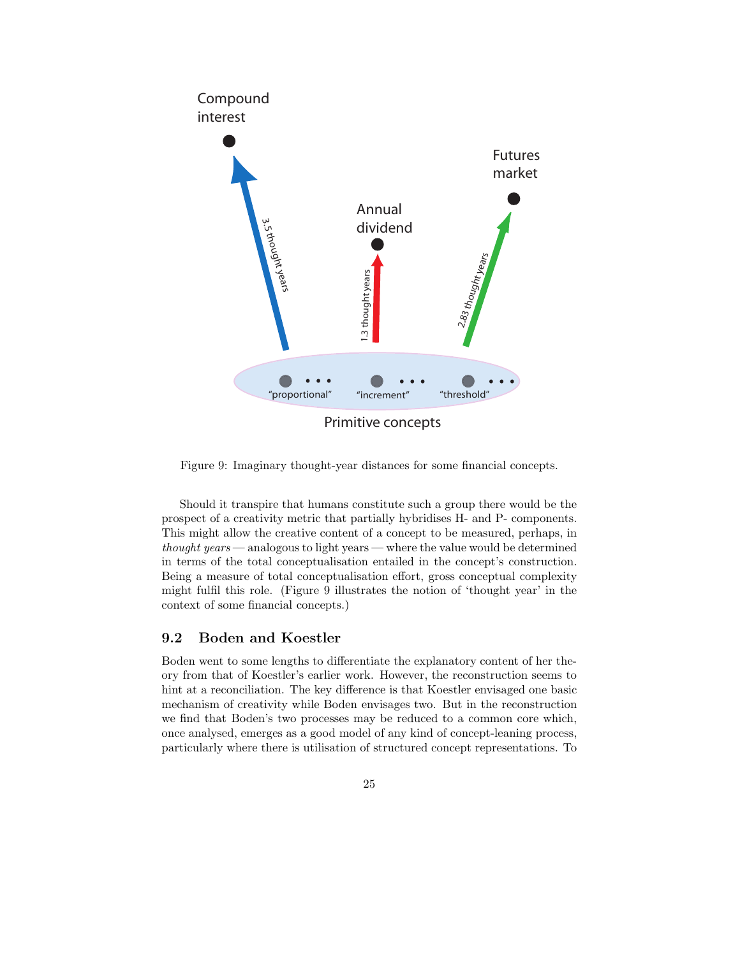

Figure 9: Imaginary thought-year distances for some financial concepts.

Should it transpire that humans constitute such a group there would be the prospect of a creativity metric that partially hybridises H- and P- components. This might allow the creative content of a concept to be measured, perhaps, in thought years — analogous to light years — where the value would be determined in terms of the total conceptualisation entailed in the concept's construction. Being a measure of total conceptualisation effort, gross conceptual complexity might fulfil this role. (Figure 9 illustrates the notion of 'thought year' in the context of some financial concepts.)

### 9.2 Boden and Koestler

Boden went to some lengths to differentiate the explanatory content of her theory from that of Koestler's earlier work. However, the reconstruction seems to hint at a reconciliation. The key difference is that Koestler envisaged one basic mechanism of creativity while Boden envisages two. But in the reconstruction we find that Boden's two processes may be reduced to a common core which, once analysed, emerges as a good model of any kind of concept-leaning process, particularly where there is utilisation of structured concept representations. To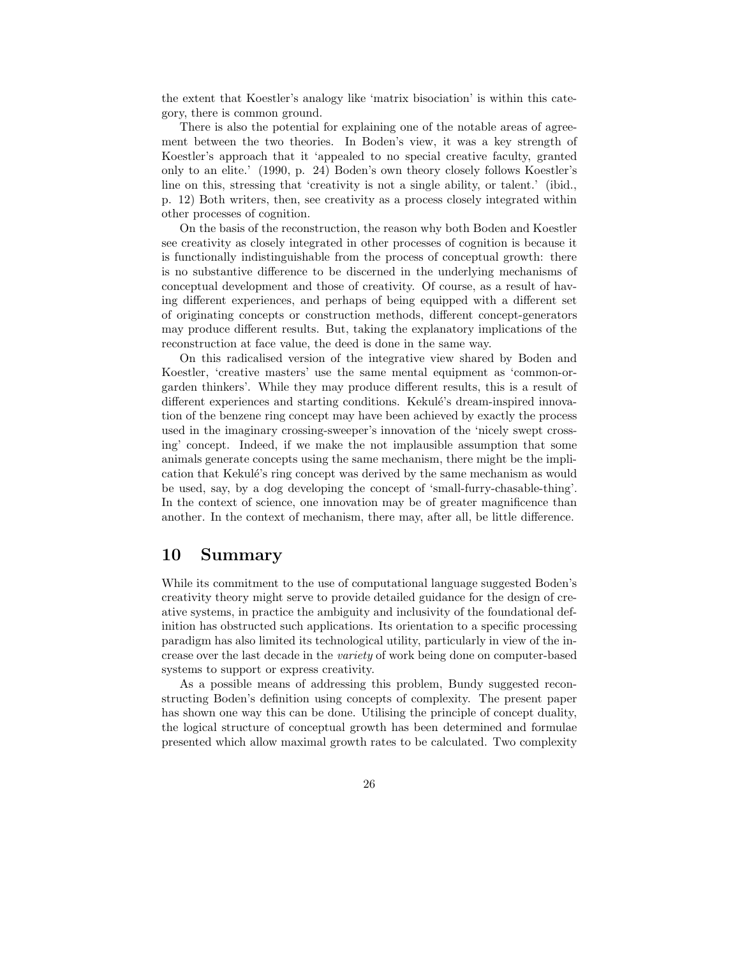the extent that Koestler's analogy like 'matrix bisociation' is within this category, there is common ground.

There is also the potential for explaining one of the notable areas of agreement between the two theories. In Boden's view, it was a key strength of Koestler's approach that it 'appealed to no special creative faculty, granted only to an elite.' (1990, p. 24) Boden's own theory closely follows Koestler's line on this, stressing that 'creativity is not a single ability, or talent.' (ibid., p. 12) Both writers, then, see creativity as a process closely integrated within other processes of cognition.

On the basis of the reconstruction, the reason why both Boden and Koestler see creativity as closely integrated in other processes of cognition is because it is functionally indistinguishable from the process of conceptual growth: there is no substantive difference to be discerned in the underlying mechanisms of conceptual development and those of creativity. Of course, as a result of having different experiences, and perhaps of being equipped with a different set of originating concepts or construction methods, different concept-generators may produce different results. But, taking the explanatory implications of the reconstruction at face value, the deed is done in the same way.

On this radicalised version of the integrative view shared by Boden and Koestler, 'creative masters' use the same mental equipment as 'common-orgarden thinkers'. While they may produce different results, this is a result of different experiences and starting conditions. Kekulé's dream-inspired innovation of the benzene ring concept may have been achieved by exactly the process used in the imaginary crossing-sweeper's innovation of the 'nicely swept crossing' concept. Indeed, if we make the not implausible assumption that some animals generate concepts using the same mechanism, there might be the implication that Kekulé's ring concept was derived by the same mechanism as would be used, say, by a dog developing the concept of 'small-furry-chasable-thing'. In the context of science, one innovation may be of greater magnificence than another. In the context of mechanism, there may, after all, be little difference.

### 10 Summary

While its commitment to the use of computational language suggested Boden's creativity theory might serve to provide detailed guidance for the design of creative systems, in practice the ambiguity and inclusivity of the foundational definition has obstructed such applications. Its orientation to a specific processing paradigm has also limited its technological utility, particularly in view of the increase over the last decade in the variety of work being done on computer-based systems to support or express creativity.

As a possible means of addressing this problem, Bundy suggested reconstructing Boden's definition using concepts of complexity. The present paper has shown one way this can be done. Utilising the principle of concept duality, the logical structure of conceptual growth has been determined and formulae presented which allow maximal growth rates to be calculated. Two complexity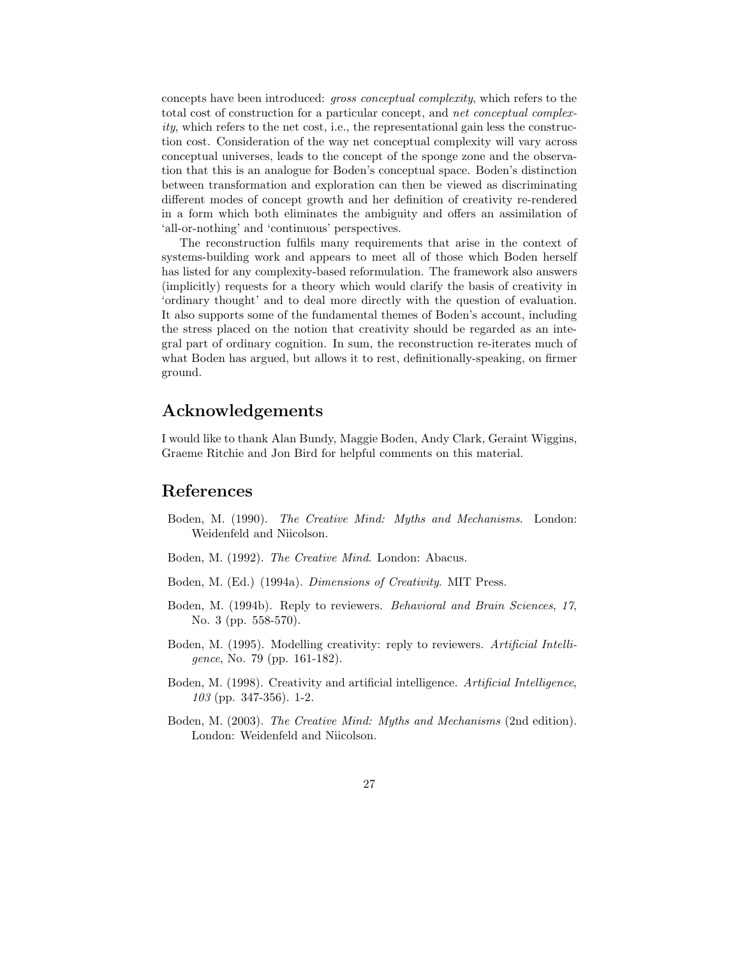concepts have been introduced: gross conceptual complexity, which refers to the total cost of construction for a particular concept, and net conceptual complex $ity$ , which refers to the net cost, i.e., the representational gain less the construction cost. Consideration of the way net conceptual complexity will vary across conceptual universes, leads to the concept of the sponge zone and the observation that this is an analogue for Boden's conceptual space. Boden's distinction between transformation and exploration can then be viewed as discriminating different modes of concept growth and her definition of creativity re-rendered in a form which both eliminates the ambiguity and offers an assimilation of 'all-or-nothing' and 'continuous' perspectives.

The reconstruction fulfils many requirements that arise in the context of systems-building work and appears to meet all of those which Boden herself has listed for any complexity-based reformulation. The framework also answers (implicitly) requests for a theory which would clarify the basis of creativity in 'ordinary thought' and to deal more directly with the question of evaluation. It also supports some of the fundamental themes of Boden's account, including the stress placed on the notion that creativity should be regarded as an integral part of ordinary cognition. In sum, the reconstruction re-iterates much of what Boden has argued, but allows it to rest, definitionally-speaking, on firmer ground.

## Acknowledgements

I would like to thank Alan Bundy, Maggie Boden, Andy Clark, Geraint Wiggins, Graeme Ritchie and Jon Bird for helpful comments on this material.

### References

- Boden, M. (1990). The Creative Mind: Myths and Mechanisms. London: Weidenfeld and Niicolson.
- Boden, M. (1992). The Creative Mind. London: Abacus.
- Boden, M. (Ed.) (1994a). *Dimensions of Creativity*. MIT Press.
- Boden, M. (1994b). Reply to reviewers. Behavioral and Brain Sciences, 17, No. 3 (pp. 558-570).
- Boden, M. (1995). Modelling creativity: reply to reviewers. Artificial Intelligence, No. 79 (pp. 161-182).
- Boden, M. (1998). Creativity and artificial intelligence. Artificial Intelligence, 103 (pp. 347-356). 1-2.
- Boden, M. (2003). The Creative Mind: Myths and Mechanisms (2nd edition). London: Weidenfeld and Niicolson.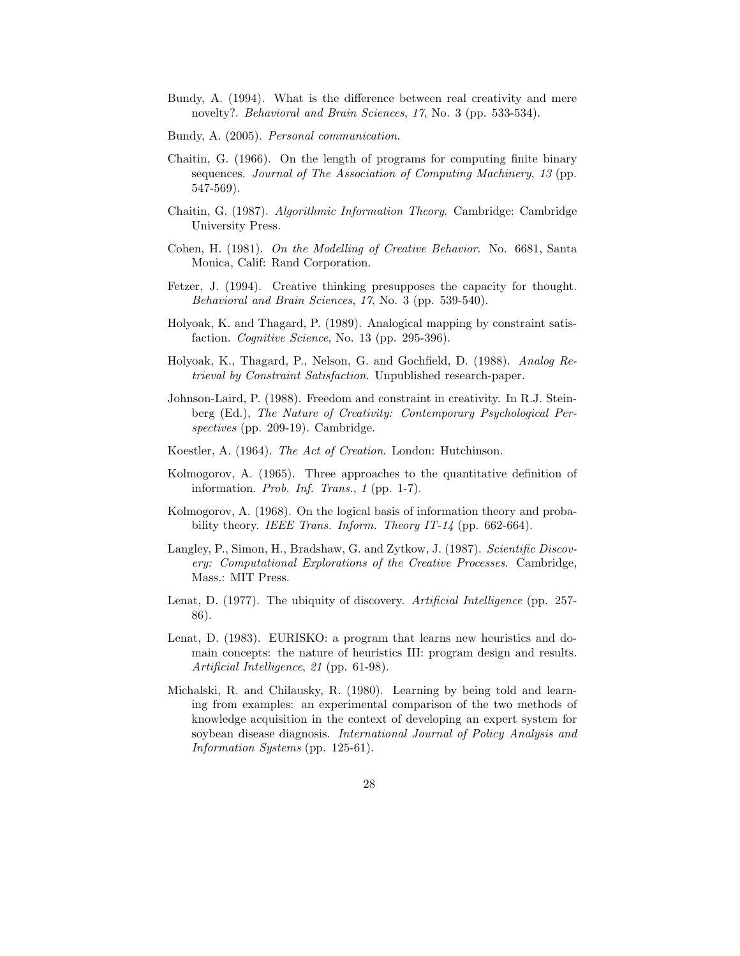- Bundy, A. (1994). What is the difference between real creativity and mere novelty?. Behavioral and Brain Sciences, 17, No. 3 (pp. 533-534).
- Bundy, A. (2005). Personal communication.
- Chaitin, G. (1966). On the length of programs for computing finite binary sequences. Journal of The Association of Computing Machinery, 13 (pp. 547-569).
- Chaitin, G. (1987). Algorithmic Information Theory. Cambridge: Cambridge University Press.
- Cohen, H. (1981). On the Modelling of Creative Behavior. No. 6681, Santa Monica, Calif: Rand Corporation.
- Fetzer, J. (1994). Creative thinking presupposes the capacity for thought. Behavioral and Brain Sciences, 17, No. 3 (pp. 539-540).
- Holyoak, K. and Thagard, P. (1989). Analogical mapping by constraint satisfaction. Cognitive Science, No. 13 (pp. 295-396).
- Holyoak, K., Thagard, P., Nelson, G. and Gochfield, D. (1988). Analog Retrieval by Constraint Satisfaction. Unpublished research-paper.
- Johnson-Laird, P. (1988). Freedom and constraint in creativity. In R.J. Steinberg (Ed.), The Nature of Creativity: Contemporary Psychological Perspectives (pp. 209-19). Cambridge.
- Koestler, A. (1964). The Act of Creation. London: Hutchinson.
- Kolmogorov, A. (1965). Three approaches to the quantitative definition of information. Prob. Inf. Trans., 1 (pp. 1-7).
- Kolmogorov, A. (1968). On the logical basis of information theory and probability theory. IEEE Trans. Inform. Theory IT-14 (pp. 662-664).
- Langley, P., Simon, H., Bradshaw, G. and Zytkow, J. (1987). Scientific Discovery: Computational Explorations of the Creative Processes. Cambridge, Mass.: MIT Press.
- Lenat, D. (1977). The ubiquity of discovery. Artificial Intelligence (pp. 257-86).
- Lenat, D. (1983). EURISKO: a program that learns new heuristics and domain concepts: the nature of heuristics III: program design and results. Artificial Intelligence, 21 (pp. 61-98).
- Michalski, R. and Chilausky, R. (1980). Learning by being told and learning from examples: an experimental comparison of the two methods of knowledge acquisition in the context of developing an expert system for soybean disease diagnosis. International Journal of Policy Analysis and Information Systems (pp. 125-61).